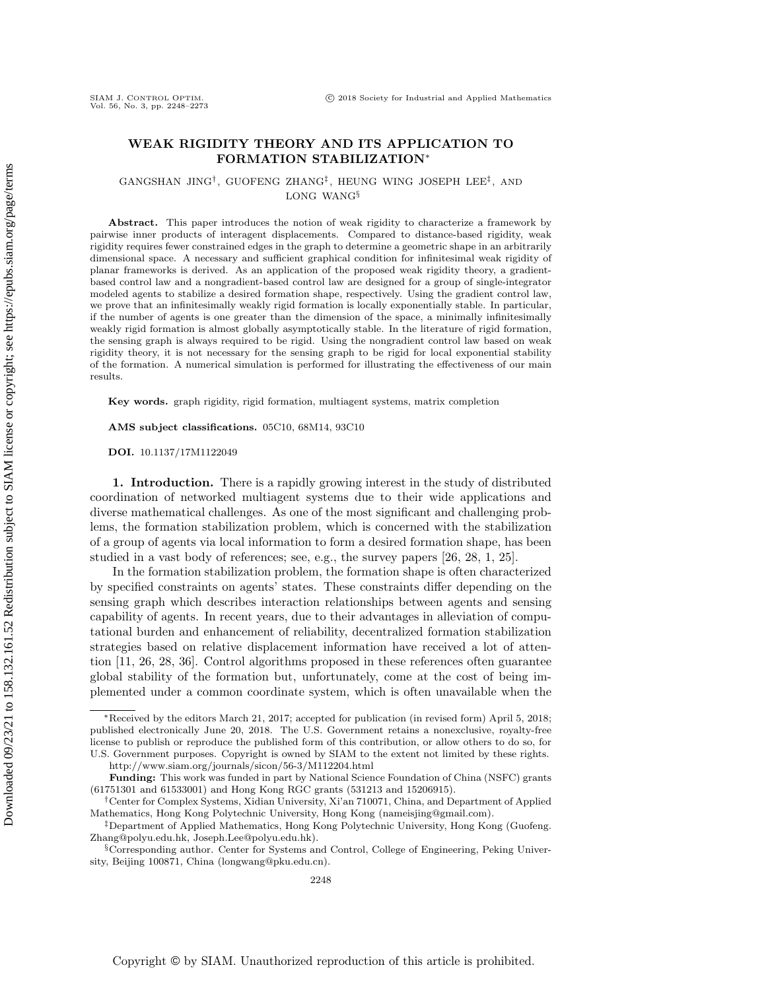# SIAM J. CONTROL OPTIM.<br>Vol. 56, No. 3, pp. 2248-2273

## WEAK RIGIDITY THEORY AND ITS APPLICATION TO FORMATION STABILIZATION\*

 $GANGSHAN$  JING<sup>†</sup>, GUOFENG ZHANG<sup>‡</sup>, HEUNG WING JOSEPH LEE<sup>‡</sup>, AND LONG WANG $\S$ 

Abstract. This paper introduces the notion of weak rigidity to characterize a framework by pairwise inner products of interagent displacements. Compared to distance-based rigidity, weak rigidity requires fewer constrained edges in the graph to determine a geometric shape in an arbitrarily dimensional space. A necessary and sufficient graphical condition for infinitesimal weak rigidity of planar frameworks is derived. As an application of the proposed weak rigidity theory, a gradientbased control law and a nongradient-based control law are designed for a group of single-integrator modeled agents to stabilize a desired formation shape, respectively. Using the gradient control law, we prove that an infinitesimally weakly rigid formation is locally exponentially stable. In particular, if the number of agents is one greater than the dimension of the space, a minimally infinitesimally weakly rigid formation is almost globally asymptotically stable. In the literature of rigid formation, the sensing graph is always required to be rigid. Using the nongradient control law based on weak rigidity theory, it is not necessary for the sensing graph to be rigid for local exponential stability of the formation. A numerical simulation is performed for illustrating the effectiveness of our main results.

 $\bf{Key words.}$  graph rigidity, rigid formation, multiagent systems, matrix completion

 $\bf AMS$  subject classifications. 05C10, 68M14, 93C10

DOI. 10.1137/17M1122049

1. Introduction. There is a rapidly growing interest in the study of distributed coordination of networked multiagent systems due to their wide applications and diverse mathematical challenges. As one of the most significant and challenging problems, the formation stabilization problem, which is concerned with the stabilization of a group of agents via local information to form a desired formation shape, has been studied in a vast body of references; see, e.g., the survey papers [\[26,](#page-24-0) [28,](#page-24-1) [1,](#page-23-0) [25\]](#page-24-2).

In the formation stabilization problem, the formation shape is often characterized by specified constraints on agents' states. These constraints differ depending on the sensing graph which describes interaction relationships between agents and sensing capability of agents. In recent years, due to their advantages in alleviation of computational burden and enhancement of reliability, decentralized formation stabilization strategies based on relative displacement information have received a lot of attention [\[11,](#page-24-3) [26,](#page-24-0) [28,](#page-24-1) [36\]](#page-25-0). Control algorithms proposed in these references often guarantee global stability of the formation but, unfortunately, come at the cost of being implemented under a common coordinate system, which is often unavailable when the

 $*$  Received by the editors March 21, 2017; accepted for publication (in revised form) April 5, 2018; published electronically June 20, 2018. The U.S. Government retains a nonexclusive, royalty-free license to publish or reproduce the published form of this contribution, or allow others to do so, for U.S. Government purposes. Copyright is owned by SIAM to the extent not limited by these rights.

<http://www.siam.org/journals/sicon/56-3/M112204.html>

 $\bf Funding:$  This work was funded in part by National Science Foundation of China (NSFC) grants (61751301 and 61533001) and Hong Kong RGC grants (531213 and 15206915).

 $\dagger$ Center for Complex Systems, Xidian University, Xi'an 710071, China, and Department of Applied Mathematics, Hong Kong Polytechnic University, Hong Kong [\(nameisjing@gmail.com\)](mailto:nameisjing@gmail.com).

 $\ddagger$ Department of Applied Mathematics, Hong Kong Polytechnic University, Hong Kong [\(Guofeng.](mailto:Guofeng.Zhang@polyu.edu.hk)) [Zhang@polyu.edu.hk,](mailto:Guofeng.Zhang@polyu.edu.hk) [Joseph.Lee@polyu.edu.hk\)](mailto:Joseph.Lee@polyu.edu.hk).

 $\S$  Corresponding author. Center for Systems and Control, College of Engineering, Peking University, Beijing 100871, China [\(longwang@pku.edu.cn\)](mailto:longwang@pku.edu.cn).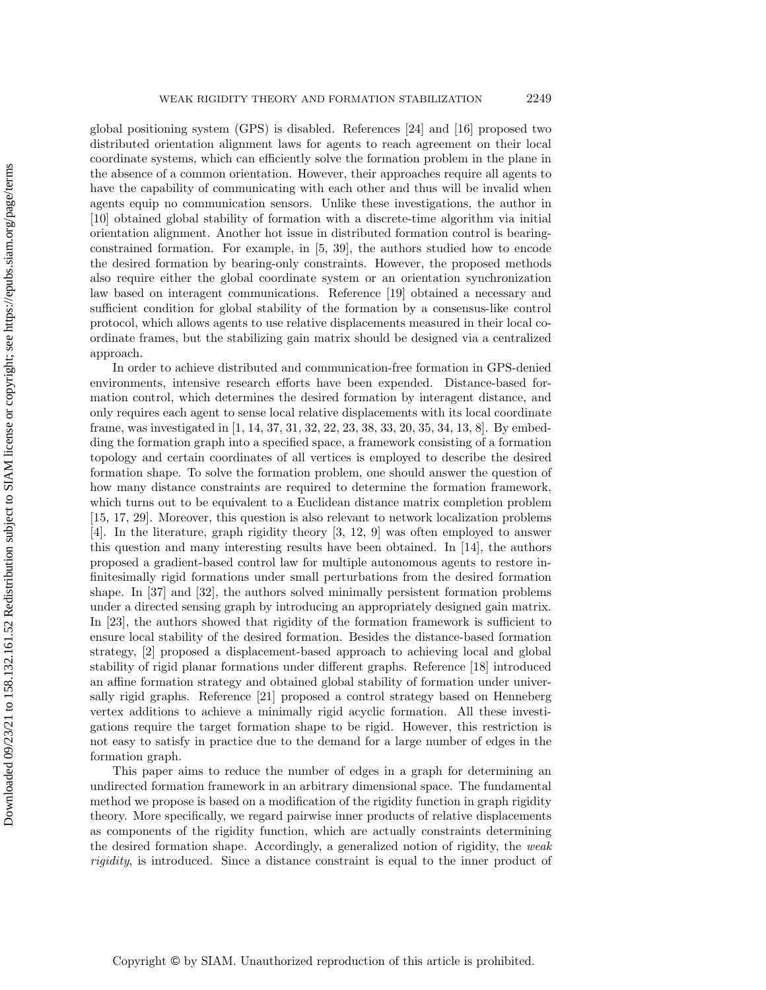global positioning system (GPS) is disabled. References [\[24\]](#page-24-4) and [\[16\]](#page-24-5) proposed two distributed orientation alignment laws for agents to reach agreement on their local coordinate systems, which can efficiently solve the formation problem in the plane in the absence of a common orientation. However, their approaches require all agents to have the capability of communicating with each other and thus will be invalid when agents equip no communication sensors. Unlike these investigations, the author in [\[10\]](#page-24-6) obtained global stability of formation with a discrete-time algorithm via initial orientation alignment. Another hot issue in distributed formation control is bearingconstrained formation. For example, in [\[5,](#page-23-1) [39\]](#page-25-1), the authors studied how to encode the desired formation by bearing-only constraints. However, the proposed methods also require either the global coordinate system or an orientation synchronization law based on interagent communications. Reference [\[19\]](#page-24-7) obtained a necessary and sufficient condition for global stability of the formation by a consensus-like control protocol, which allows agents to use relative displacements measured in their local coordinate frames, but the stabilizing gain matrix should be designed via a centralized approach.

In order to achieve distributed and communication-free formation in GPS-denied environments, intensive research efforts have been expended. Distance-based formation control, which determines the desired formation by interagent distance, and only requires each agent to sense local relative displacements with its local coordinate frame, was investigated in [\[1,](#page-23-0) [14,](#page-24-8) [37,](#page-25-2) [31,](#page-25-3) [32,](#page-25-4) [22,](#page-24-9) [23,](#page-24-10) [38,](#page-25-5) [33,](#page-25-6) [20,](#page-24-11) [35,](#page-25-7) [34,](#page-25-8) [13,](#page-24-12) [8\]](#page-24-13). By embedding the formation graph into a specified space, a framework consisting of a formation topology and certain coordinates of all vertices is employed to describe the desired formation shape. To solve the formation problem, one should answer the question of how many distance constraints are required to determine the formation framework, which turns out to be equivalent to a Euclidean distance matrix completion problem [\[15,](#page-24-14) [17,](#page-24-15) [29\]](#page-24-16). Moreover, this question is also relevant to network localization problems [\[4\]](#page-23-2). In the literature, graph rigidity theory [\[3,](#page-23-3) [12,](#page-24-17) [9\]](#page-24-18) was often employed to answer this question and many interesting results have been obtained. In [\[14\]](#page-24-8), the authors proposed a gradient-based control law for multiple autonomous agents to restore infinitesimally rigid formations under small perturbations from the desired formation shape. In [\[37\]](#page-25-2) and [\[32\]](#page-25-4), the authors solved minimally persistent formation problems under a directed sensing graph by introducing an appropriately designed gain matrix. In [\[23\]](#page-24-10), the authors showed that rigidity of the formation framework is sufficient to ensure local stability of the desired formation. Besides the distance-based formation strategy, [\[2\]](#page-23-4) proposed a displacement-based approach to achieving local and global stability of rigid planar formations under different graphs. Reference [\[18\]](#page-24-19) introduced an affine formation strategy and obtained global stability of formation under universally rigid graphs. Reference [\[21\]](#page-24-20) proposed a control strategy based on Henneberg vertex additions to achieve a minimally rigid acyclic formation. All these investigations require the target formation shape to be rigid. However, this restriction is not easy to satisfy in practice due to the demand for a large number of edges in the formation graph.

This paper aims to reduce the number of edges in a graph for determining an undirected formation framework in an arbitrary dimensional space. The fundamental method we propose is based on a modification of the rigidity function in graph rigidity theory. More specifically, we regard pairwise inner products of relative displacements as components of the rigidity function, which are actually constraints determining the desired formation shape. Accordingly, a generalized notion of rigidity, the weak rigidity, is introduced. Since a distance constraint is equal to the inner product of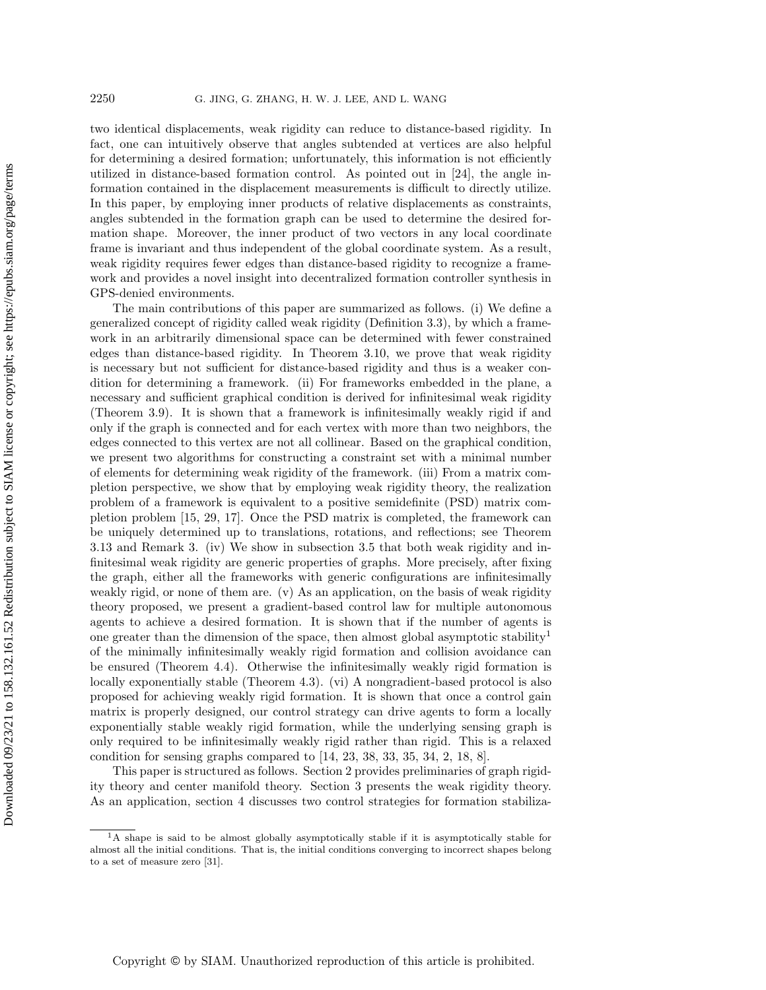two identical displacements, weak rigidity can reduce to distance-based rigidity. In fact, one can intuitively observe that angles subtended at vertices are also helpful for determining a desired formation; unfortunately, this information is not efficiently utilized in distance-based formation control. As pointed out in [\[24\]](#page-24-4), the angle information contained in the displacement measurements is difficult to directly utilize. In this paper, by employing inner products of relative displacements as constraints, angles subtended in the formation graph can be used to determine the desired formation shape. Moreover, the inner product of two vectors in any local coordinate frame is invariant and thus independent of the global coordinate system. As a result, weak rigidity requires fewer edges than distance-based rigidity to recognize a framework and provides a novel insight into decentralized formation controller synthesis in GPS-denied environments.

The main contributions of this paper are summarized as follows. (i) We define a generalized concept of rigidity called weak rigidity (Definition [3.3\)](#page-5-0), by which a framework in an arbitrarily dimensional space can be determined with fewer constrained edges than distance-based rigidity. In Theorem [3.10,](#page-12-0) we prove that weak rigidity is necessary but not sufficient for distance-based rigidity and thus is a weaker condition for determining a framework. (ii) For frameworks embedded in the plane, a necessary and sufficient graphical condition is derived for infinitesimal weak rigidity (Theorem [3.9\)](#page-8-0). It is shown that a framework is infinitesimally weakly rigid if and only if the graph is connected and for each vertex with more than two neighbors, the edges connected to this vertex are not all collinear. Based on the graphical condition, we present two algorithms for constructing a constraint set with a minimal number of elements for determining weak rigidity of the framework. (iii) From a matrix completion perspective, we show that by employing weak rigidity theory, the realization problem of a framework is equivalent to a positive semidefinite (PSD) matrix completion problem [\[15,](#page-24-14) [29,](#page-24-16) [17\]](#page-24-15). Once the PSD matrix is completed, the framework can be uniquely determined up to translations, rotations, and reflections; see Theorem [3.13](#page-13-0) and Remark [3.](#page-14-0) (iv) We show in subsection [3.5](#page-14-1) that both weak rigidity and infinitesimal weak rigidity are generic properties of graphs. More precisely, after fixing the graph, either all the frameworks with generic configurations are infinitesimally weakly rigid, or none of them are. (v) As an application, on the basis of weak rigidity theory proposed, we present a gradient-based control law for multiple autonomous agents to achieve a desired formation. It is shown that if the number of agents is one greater than the dimension of the space, then almost global asymptotic stability<sup>[1](#page-2-0)</sup> of the minimally infinitesimally weakly rigid formation and collision avoidance can be ensured (Theorem [4.4\)](#page-18-0). Otherwise the infinitesimally weakly rigid formation is locally exponentially stable (Theorem [4.3\)](#page-18-1). (vi) A nongradient-based protocol is also proposed for achieving weakly rigid formation. It is shown that once a control gain matrix is properly designed, our control strategy can drive agents to form a locally exponentially stable weakly rigid formation, while the underlying sensing graph is only required to be infinitesimally weakly rigid rather than rigid. This is a relaxed condition for sensing graphs compared to [\[14,](#page-24-8) [23,](#page-24-10) [38,](#page-25-5) [33,](#page-25-6) [35,](#page-25-7) [34,](#page-25-8) [2,](#page-23-4) [18,](#page-24-19) [8\]](#page-24-13).

This paper is structured as follows. Section [2](#page-3-0) provides preliminaries of graph rigidity theory and center manifold theory. Section [3](#page-5-1) presents the weak rigidity theory. As an application, section [4](#page-15-0) discusses two control strategies for formation stabiliza-

<span id="page-2-0"></span><sup>&</sup>lt;sup>1</sup>A shape is said to be almost globally asymptotically stable if it is asymptotically stable for almost all the initial conditions. That is, the initial conditions converging to incorrect shapes belong to a set of measure zero [\[31\]](#page-25-3).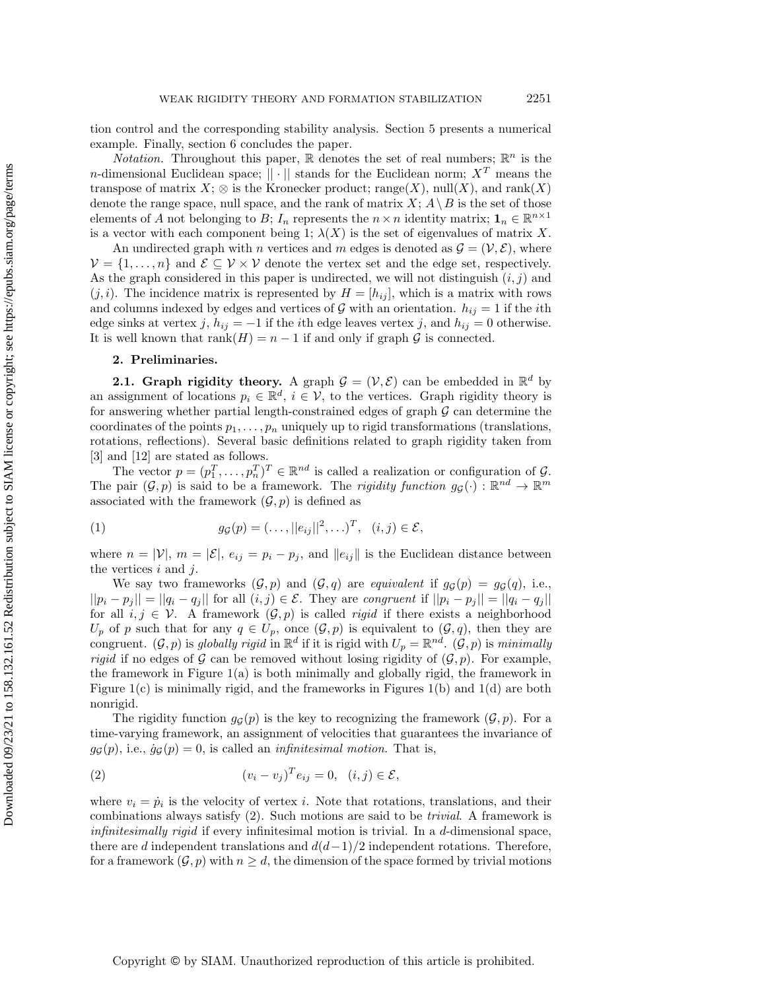tion control and the corresponding stability analysis. Section [5](#page-22-0) presents a numerical example. Finally, section [6](#page-22-1) concludes the paper.

*Notation.* Throughout this paper,  $\mathbb R$  denotes the set of real numbers;  $\mathbb R^n$  is the n-dimensional Euclidean space;  $\|\cdot\|$  stands for the Euclidean norm;  $X^T$  means the transpose of matrix  $X$ ;  $\otimes$  is the Kronecker product; range(X), null(X), and rank(X) denote the range space, null space, and the rank of matrix  $X; A \ B$  is the set of those elements of A not belonging to B;  $I_n$  represents the  $n \times n$  identity matrix;  $\mathbf{1}_n \in \mathbb{R}^{n \times 1}$ is a vector with each component being 1;  $\lambda (X)$  is the set of eigenvalues of matrix X.

An undirected graph with n vertices and m edges is denoted as  $\mathcal{G} = (\mathcal{V}, \mathcal{E})$ , where  $\mathcal{V} = \{ 1, \ldots, n\}$  and  $\mathcal{E} \subseteq \mathcal{V} \times \mathcal{V}$  denote the vertex set and the edge set, respectively. As the graph considered in this paper is undirected, we will not distinguish  $(i, j)$  and  $(j, i)$ . The incidence matrix is represented by  $H = [h_{ij}]$ , which is a matrix with rows and columns indexed by edges and vertices of  $\mathcal G$  with an orientation.  $h_{ij} = 1$  if the *i*th edge sinks at vertex j,  $h_{ij} = -1$  if the *i*th edge leaves vertex j, and  $h_{ij} = 0$  otherwise. It is well known that  $rank(H) = n - 1$  if and only if graph  $\mathcal G$  is connected.

#### 2. Preliminaries.

<span id="page-3-0"></span>**2.1. Graph rigidity theory.** A graph  $\mathcal{G} = (\mathcal{V}, \mathcal{E})$  can be embedded in  $\mathbb{R}^d$  by an assignment of locations  $p_i \in \mathbb{R}^d$ ,  $i \in \mathcal{V}$ , to the vertices. Graph rigidity theory is for answering whether partial length-constrained edges of graph  $\mathcal G$  can determine the coordinates of the points  $p_1, \ldots, p_n$  uniquely up to rigid transformations (translations, rotations, reflections). Several basic definitions related to graph rigidity taken from [\[3\]](#page-23-3) and [\[12\]](#page-24-17) are stated as follows.

The vector  $p = (p_1^T, \ldots, p_n^T)^T \in \mathbb{R}^{nd}$  is called a realization or configuration of  $\mathcal{G}$ . The pair  $(\mathcal G, p)$  is said to be a framework. The rigidity function  $g_{\mathcal G}(\cdot) : \Bbb R^{nd} \rightarrow \Bbb R^m$ associated with the framework  $(\mathcal{G}, p)$  is defined as

<span id="page-3-2"></span>(1) 
$$
g_{\mathcal{G}}(p) = (\dots, ||e_{ij}||^2, \dots)^T, \quad (i, j) \in \mathcal{E},
$$

where  $n = |V|$ ,  $m = |\mathcal{E}|$ ,  $e_{ij} = p_i - p_j$ , and  $||e_{ij}||$  is the Euclidean distance between the vertices  $i$  and  $j$ .

We say two frameworks  $(\mathcal{G}, p)$  and  $(\mathcal{G}, q)$  are equivalent if  $g_\mathcal{G} (p) = g_\mathcal{G} (q),$  i.e.,  $||p_i - p_j|| = ||q_i - q_j||$  for all  $(i, j) \in \mathcal{E}$ . They are congruent if  $||p_i - p_j|| = ||q_i - q_j||$ for all  $i, j \in \mathcal{V}$ . A framework  $(\mathcal{G}, p)$  is called *rigid* if there exists a neighborhood  $U_p$  of p such that for any  $q \in U_p$ , once  $(\mathcal{G}, p)$  is equivalent to  $(\mathcal{G}, q)$ , then they are congruent.  $(\mathcal G, p)$  is globally rigid in  $\mathbb R^d$  if it is rigid with  $U_p = \mathbb R^{nd}$ .  $(\mathcal G, p)$  is minimally *rigid* if no edges of  $\mathcal G$  can be removed without losing rigidity of  $(\mathcal G, p)$ . For example, the framework in Figure [1\(](#page-4-0)a) is both minimally and globally rigid, the framework in Figure  $1(c)$  is minimally rigid, and the frameworks in Figures  $1(b)$  and  $1(d)$  are both nonrigid.

The rigidity function  $g_{\mathcal{G}}(p)$  is the key to recognizing the framework  $(\mathcal{G}, p)$ . For a time-varying framework, an assignment of velocities that guarantees the invariance of  $g_{\mathcal{G}}(p)$ , i.e.,  $\dot{g}_{\mathcal{G}}(p) = 0$ , is called an *infinitesimal motion*. That is,

<span id="page-3-1"></span>(2) 
$$
(v_i - v_j)^T e_{ij} = 0, \quad (i, j) \in \mathcal{E},
$$

where  $v_i = \dot{p}_i$  is the velocity of vertex i. Note that rotations, translations, and their combinations always satisfy [\(2\)](#page-3-1). Such motions are said to be trivial. A framework is infinitesimally rigid if every infinitesimal motion is trivial. In a d-dimensional space, there are d independent translations and  $d(d-1)/2$  independent rotations. Therefore, for a framework  $(\mathcal{G}, p)$  with  $n \geq d$ , the dimension of the space formed by trivial motions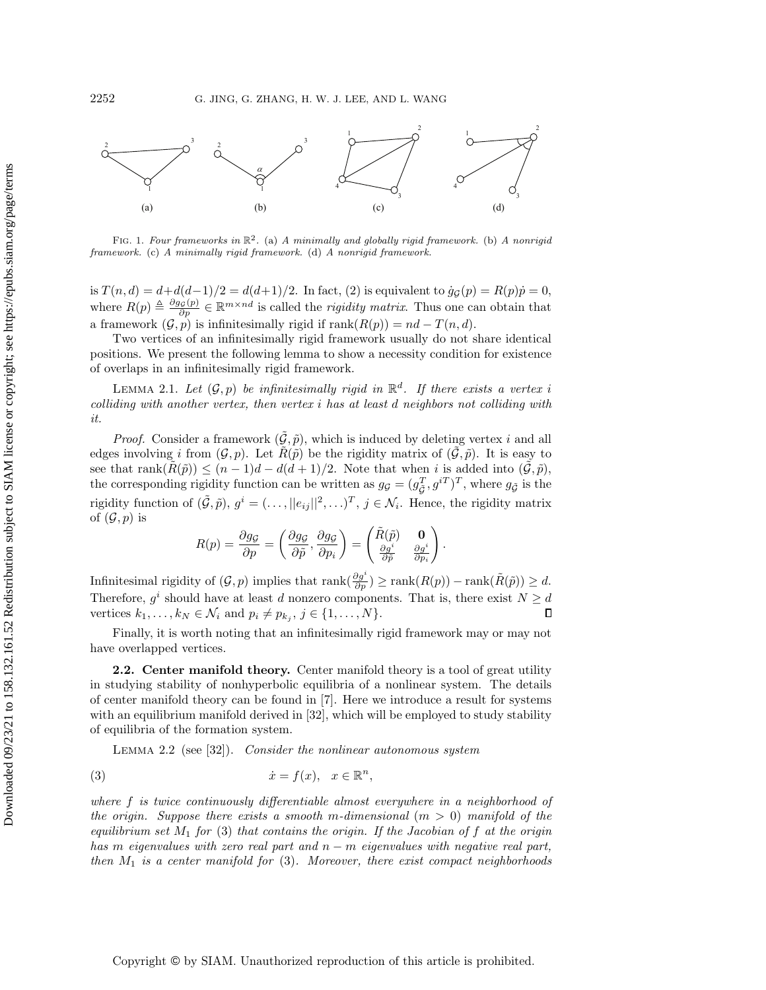<span id="page-4-0"></span>

FIG. 1. Four frameworks in  $\Bbb R^2$ . (a) A minimally and globally rigid framework. (b) A nonrigid framework. (c) A minimally rigid framework. (d) A nonrigid framework.

is  $T(n, d) = d + d(d-1)/2 = d(d+1)/2$ . In fact, [\(2\)](#page-3-1) is equivalent to  $\dot{g}_{\mathcal{G}}(p) = R(p) \dot{p} = 0$ , where  $R(p) \triangleq \frac{\partial g\varsigma (p)}{\partial p} \in \mathbb{R}^{m \times nd}$  is called the *rigidity matrix*. Thus one can obtain that a framework  $(\mathcal{G}, \hat{p})$  is infinitesimally rigid if rank $(R(p)) = nd - T(n, d)$ .

Two vertices of an infinitesimally rigid framework usually do not share identical positions. We present the following lemma to show a necessity condition for existence of overlaps in an infinitesimally rigid framework.

<span id="page-4-2"></span>LEMMA 2.1. Let  $(\mathcal G, p)$  be infinitesimally rigid in  $\mathbb R^d$ . If there exists a vertex i colliding with another vertex, then vertex i has at least d neighbors not colliding with it.

*Proof.* Consider a framework  $(\tilde{\mathcal{G}}, \tilde{p})$ , which is induced by deleting vertex i and all edges involving i from  $(\mathcal{G}, p)$ . Let  $R(\tilde{p})$  be the rigidity matrix of  $(\tilde{\mathcal{G}}, \tilde{p})$ . It is easy to see that rank $(R(\tilde{p})) \leq (n - 1)d - d(d + 1)/2$ . Note that when i is added into  $(\tilde{\mathcal{G}}, \tilde{p}),$ the corresponding rigidity function can be written as  $g_g = (g_{\tilde{G}}^T, g^{iT})^T$ , where  $g_{\tilde{G}}$  is the rigidity function of  $(\tilde{\mathcal{G}}, \tilde{p}), g^i = (\ldots, ||e_{ij}||^2, \ldots)^T, j \in \mathcal{N}_i$ . Hence, the rigidity matrix of  $(\mathcal G , p)$  is

$$
R(p) = \frac{\partial g_{\mathcal{G}}}{\partial p} = \left(\frac{\partial g_{\mathcal{G}}}{\partial \tilde{p}}, \frac{\partial g_{\mathcal{G}}}{\partial p_i}\right) = \left(\begin{matrix} \tilde{R}(\tilde{p}) & \mathbf{0} \\ \frac{\partial g^i}{\partial \tilde{p}} & \frac{\partial g^i}{\partial p_i} \end{matrix}\right)
$$

.

Infinitesimal rigidity of  $(\mathcal G, p)$  implies that  $\text{rank}(\frac{\partial g^i}{\partial p}) \geq \text{rank}(R(p)) - \text{rank}(\tilde R(\tilde p)) \geq d$ . Therefore,  $g^i$  should have at least d nonzero components. That is, there exist  $N \geq d$ vertices  $k_1, \ldots, k_N \in \mathcal{N}_i$  and  $p_i \neq p_{k_j}, j \in \{ 1, \ldots, N\}$ .  $\Box$ 

Finally, it is worth noting that an infinitesimally rigid framework may or may not have overlapped vertices.

2.2. Center manifold theory. Center manifold theory is a tool of great utility in studying stability of nonhyperbolic equilibria of a nonlinear system. The details of center manifold theory can be found in [\[7\]](#page-24-21). Here we introduce a result for systems with an equilibrium manifold derived in [\[32\]](#page-25-4), which will be employed to study stability of equilibria of the formation system.

<span id="page-4-3"></span><span id="page-4-1"></span>LEMMA 2.2 (see [\[32\]](#page-25-4)). Consider the nonlinear autonomous system

(3) \.x = f(x), x \in \BbbR n ,

where f is twice continuously differentiable almost everywhere in a neighborhood of the origin. Suppose there exists a smooth m-dimensional  $(m > 0)$  manifold of the equilibrium set  $M_1$  for [\(3\)](#page-4-1) that contains the origin. If the Jacobian of f at the origin has m eigenvalues with zero real part and  $n - m$  eigenvalues with negative real part, then  $M_1$  is a center manifold for  $(3)$ . Moreover, there exist compact neighborhoods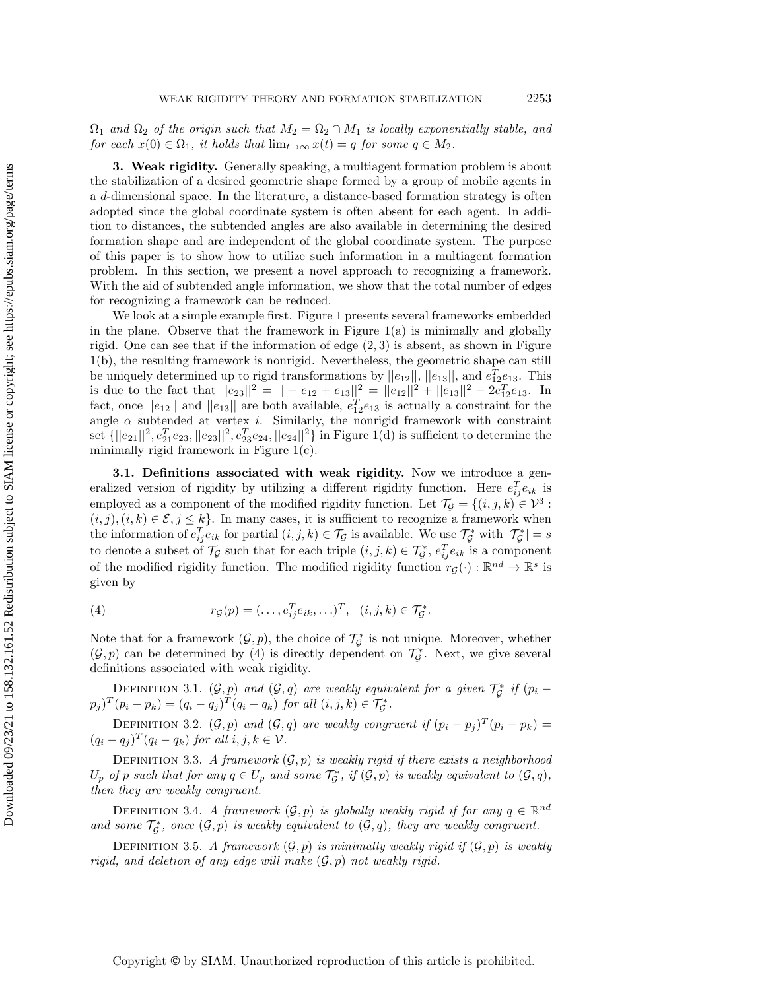$\Omega_1$  and  $\Omega_2$  of the origin such that  $M_2 = \Omega_2 \cap M_1$  is locally exponentially stable, and for each  $x(0) \in \Omega_1$ , it holds that  $\lim_{t\rightarrow \infty} x(t) = q$  for some  $q \in M_2$ .

<span id="page-5-1"></span>3. Weak rigidity. Generally speaking, a multiagent formation problem is about the stabilization of a desired geometric shape formed by a group of mobile agents in a d-dimensional space. In the literature, a distance-based formation strategy is often adopted since the global coordinate system is often absent for each agent. In addition to distances, the subtended angles are also available in determining the desired formation shape and are independent of the global coordinate system. The purpose of this paper is to show how to utilize such information in a multiagent formation problem. In this section, we present a novel approach to recognizing a framework. With the aid of subtended angle information, we show that the total number of edges for recognizing a framework can be reduced.

We look at a simple example first. Figure [1](#page-4-0) presents several frameworks embedded in the plane. Observe that the framework in Figure  $1(a)$  is minimally and globally rigid. One can see that if the information of edge  $(2, 3)$  is absent, as shown in Figure [1\(](#page-4-0)b), the resulting framework is nonrigid. Nevertheless, the geometric shape can still be uniquely determined up to rigid transformations by  $||e_{12}||$ ,  $||e_{13}||$ , and  $e_{12}^T e_{13}$ . This is due to the fact that  $||e_{23}||^2 = ||-e_{12}+e_{13}||^2 = ||e_{12}||^2 + ||e_{13}||^2 - 2e_{12}^T e_{13}$ . In fact, once  $||e_{12}||$  and  $||e_{13}||$  are both available,  $e_{12}^T e_{13}$  is actually a constraint for the angle  $\alpha$  subtended at vertex i. Similarly, the nonrigid framework with constraint set  $\{ ||e_{21}||^2, e_{21}^T e_{23}, ||e_{23}||^2, e_{23}^T e_{24}, ||e_{24}||^2 \}$  in Figure [1\(](#page-4-0)d) is sufficient to determine the minimally rigid framework in Figure [1\(](#page-4-0)c).

<span id="page-5-3"></span>3.1. Definitions associated with weak rigidity. Now we introduce a generalized version of rigidity by utilizing a different rigidity function. Here  $e_{ij}^T e_{ik}$  is employed as a component of the modified rigidity function. Let  $\mathcal{T}_\mathcal{G} = \{ (i, j, k) \in \mathcal{V}^3 :$  $(i, j), (i, k) \in \mathcal{E}, j \leq k$ . In many cases, it is sufficient to recognize a framework when the information of  $e_{ij}^T e_{ik}$  for partial  $(i, j, k) \in \mathcal{T}_{\mathcal{G}}$  is available. We use  $\mathcal{T}_{\mathcal{G}}^*$  with  $|\mathcal{T}_{\mathcal{G}}^*| = s$ to denote a subset of  $\mathcal{T}_\mathcal{G}$  such that for each triple  $(i, j, k) \in \mathcal{T}_\mathcal{G}^*, e_{ij}^T e_{ik}$  is a component of the modified rigidity function. The modified rigidity function  $r_{\mathcal{G}}(\cdot) : \mathbb{R}^{nd} \to \mathbb{R}^s$  is given by

<span id="page-5-2"></span>(4) 
$$
r_{\mathcal{G}}(p) = (\dots, e_{ij}^T e_{ik}, \dots)^T, \ \ (i, j, k) \in \mathcal{T}_{\mathcal{G}}^*.
$$

Note that for a framework  $(\mathcal G, p)$ , the choice of  $\mathcal T_{\mathcal G}^*$  is not unique. Moreover, whether  $(\mathcal G, p)$  can be determined by [\(4\)](#page-5-2) is directly dependent on  $\mathcal T_{\mathcal G}^*$ . Next, we give several definitions associated with weak rigidity.

DEFINITION 3.1.  $(\mathcal G, p)$  and  $(\mathcal G, q)$  are weakly equivalent for a given  $\mathcal T^*_\mathcal G$  if  $(p_i (p_j)^T (p_i - p_k) = (q_i - q_j)^T (q_i - q_k) \text{ for all } (i, j, k) \in \mathcal{T}_{\mathcal{G}}^*$ .

<span id="page-5-4"></span>DEFINITION 3.2.  $(\mathcal G, p)$  and  $(\mathcal G, q)$  are weakly congruent if  $(p_i - p_j )^T (p_i - p_k) =$  $(q_i - q_j)^T (q_i - q_k)$  for all  $i, j, k \in \mathcal{V}$ .

<span id="page-5-0"></span>DEFINITION 3.3. A framework  $(\mathcal{G}, p)$  is weakly rigid if there exists a neighborhood  $U_p$  of p such that for any  $q \in U_p$  and some  $\mathcal{T}_\mathcal{G}^*$ , if  $(\mathcal{G}, p)$  is weakly equivalent to  $(\mathcal{G}, q)$ , then they are weakly congruent.

DEFINITION 3.4. A framework  $(\mathcal G, p)$  is globally weakly rigid if for any  $q \in \mathbb R^{nd}$ and some  $\mathcal{T}_{\mathcal{G}}^*$ , once  $(\mathcal{G}, p)$  is weakly equivalent to  $(\mathcal{G}, q)$ , they are weakly congruent.

DEFINITION 3.5. A framework  $(\mathcal{G}, p)$  is minimally weakly rigid if  $(\mathcal{G}, p)$  is weakly rigid, and deletion of any edge will make  $(\mathcal{G}, p)$  not weakly rigid.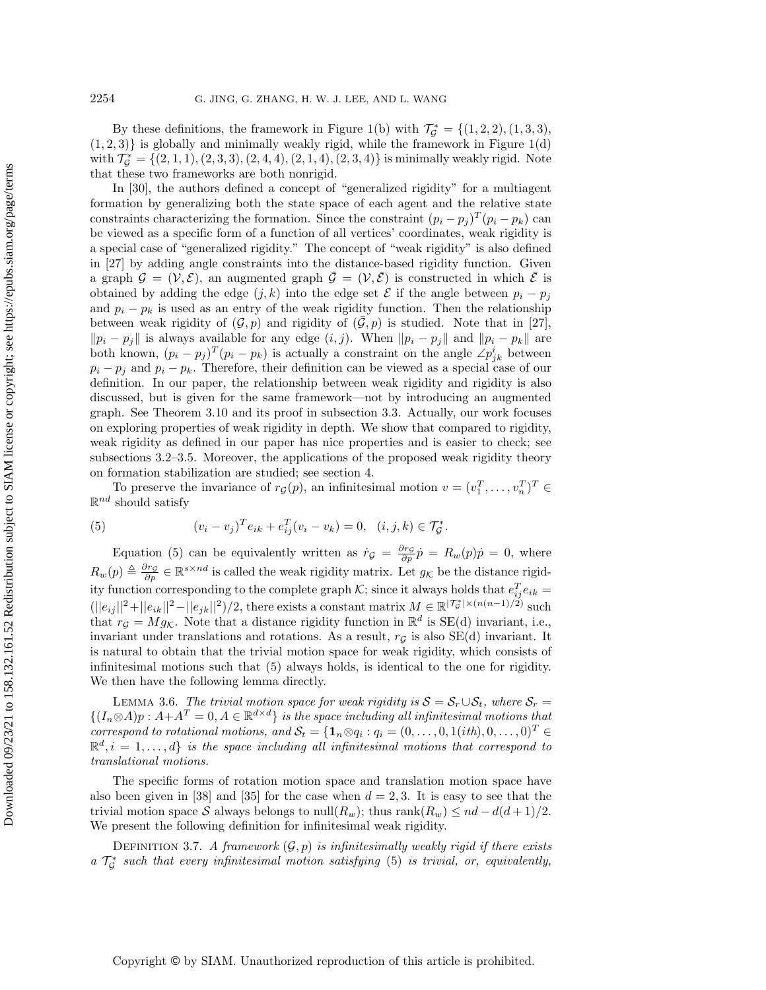By these definitions, the framework in Figure [1\(](#page-4-0)b) with  $\mathcal{T}_{\mathcal{G}}^* = \{ (1, 2, 2), (1, 3, 3),$  $(1, 2, 3)$ } is globally and minimally weakly rigid, while the framework in Figure [1\(](#page-4-0)d) with  $\mathcal{T}_\mathcal{G}^* = \{ (2, 1, 1), (2, 3, 3), (2, 4, 4), (2, 1, 4), (2, 3, 4) \}$  is minimally weakly rigid. Note that these two frameworks are both nonrigid.

In [\[30\]](#page-25-9), the authors defined a concept of "generalized rigidity" for a multiagent formation by generalizing both the state space of each agent and the relative state constraints characterizing the formation. Since the constraint  $(p_i - p_j)^T (p_i - p_k)$  can be viewed as a specific form of a function of all vertices' coordinates, weak rigidity is a special case of "generalized rigidity." The concept of "weak rigidity" is also defined in [\[27\]](#page-24-22) by adding angle constraints into the distance-based rigidity function. Given a graph  $\mathcal{G} = (\mathcal{V}, \mathcal{E})$ , an augmented graph  $\bar{\mathcal{G}} = (\mathcal{V}, \bar{\mathcal{E}})$  is constructed in which  $\bar{\mathcal{E}}$  is obtained by adding the edge  $(j, k)$  into the edge set  $\mathcal E$  if the angle between  $p_i - p_j$ and  $p_i - p_k$  is used as an entry of the weak rigidity function. Then the relationship between weak rigidity of  $(\mathcal{G}, p)$  and rigidity of  $(\bar{\mathcal{G}}, p)$  is studied. Note that in [\[27\]](#page-24-22),  $\| p_i - p_j \|$  is always available for any edge  $(i, j)$ . When  $\| p_i - p_j \|$  and  $\| p_i - p_k \|$  are both known,  $(p_i - p_j)^T (p_i - p_k)$  is actually a constraint on the angle  $\angle p_{jk}^i$  between  $p_i - p_j$  and  $p_i - p_k$ . Therefore, their definition can be viewed as a special case of our definition. In our paper, the relationship between weak rigidity and rigidity is also discussed, but is given for the same framework—not by introducing an augmented graph. See Theorem [3.10](#page-12-0) and its proof in subsection [3.3.](#page-11-0) Actually, our work focuses on exploring properties of weak rigidity in depth. We show that compared to rigidity, weak rigidity as defined in our paper has nice properties and is easier to check; see subsections 3.2–[3.5.](#page-14-1) Moreover, the applications of the proposed weak rigidity theory on formation stabilization are studied; see section [4.](#page-15-0)

To preserve the invariance of  $r_{\mathcal{G}}(p)$ , an infinitesimal motion  $v = (v_1^T, \ldots, v_n^T)^T \in$  $\mathbb{R}^{nd}$  should satisfy

<span id="page-6-0"></span>(5) 
$$
(v_i - v_j)^T e_{ik} + e_{ij}^T (v_i - v_k) = 0, \quad (i, j, k) \in \mathcal{T}_{\mathcal{G}}^*.
$$

Equation [\(5\)](#page-6-0) can be equivalently written as  $\dot{r}_\mathcal{G} = \frac{\partial r_\mathcal{G}}{\partial p} \dot{p} = R_w(p) \dot{p} = 0$ , where  $R_w(p) \triangleq \frac{\partial r_g}{\partial p} \in \mathbb{R}^{s \times nd}$  is called the weak rigidity matrix. Let  $g_\mathcal{K}$  be the distance rigidity function corresponding to the complete graph  $\mathcal{K}$ ; since it always holds that  $e_{ij}^T e_{ik} =$  $(||e_{ij}||^2 + ||e_{ik}||^2 - ||e_{jk}||^2)/2$ , there exists a constant matrix  $M \in \mathbb{R}^{|\mathcal{T}_{\mathcal{G}}^*| \times (n(n-1)/2)}$  such that  $r_{\mathcal{G}} = Mg_K$ . Note that a distance rigidity function in  $\mathbb{R}^d$  is SE(d) invariant, i.e., invariant under translations and rotations. As a result,  $r_{\mathcal{G}}$  is also SE(d) invariant. It is natural to obtain that the trivial motion space for weak rigidity, which consists of infinitesimal motions such that [\(5\)](#page-6-0) always holds, is identical to the one for rigidity. We then have the following lemma directly.

<span id="page-6-2"></span>LEMMA 3.6. The trivial motion space for weak rigidity is  $\mathcal{S} = \mathcal{S}_r \cup \mathcal{S}_t$ , where  $\mathcal{S}_r =$  $\{ (I_n \otimes A)p : A+A^T = 0, A \in \Bbb R^{d \times d} \}$  is the space including all infinitesimal motions that correspond to rotational motions, and  $S_t = \{ \mathbf{1}_n \otimes q_i : q_i = (0, \ldots, 0, 1(ith), 0, \ldots, 0)^T \in$  $\mathbb{R}^d, i = 1, \ldots, d\}$  is the space including all infinitesimal motions that correspond to translational motions.

The specific forms of rotation motion space and translation motion space have also been given in [\[38\]](#page-25-5) and [\[35\]](#page-25-7) for the case when  $d = 2, 3$ . It is easy to see that the trivial motion space  $\mathcal S$  always belongs to null $(R_w)$ ; thus rank $(R_w) \leq nd - d(d + 1)/2$ . We present the following definition for infinitesimal weak rigidity.

<span id="page-6-1"></span>DEFINITION 3.7. A framework  $(\mathcal{G}, p)$  is infinitesimally weakly rigid if there exists a  $\mathcal{T}_{\mathcal{G}}^*$  such that every infinitesimal motion satisfying [\(5\)](#page-6-0) is trivial, or, equivalently,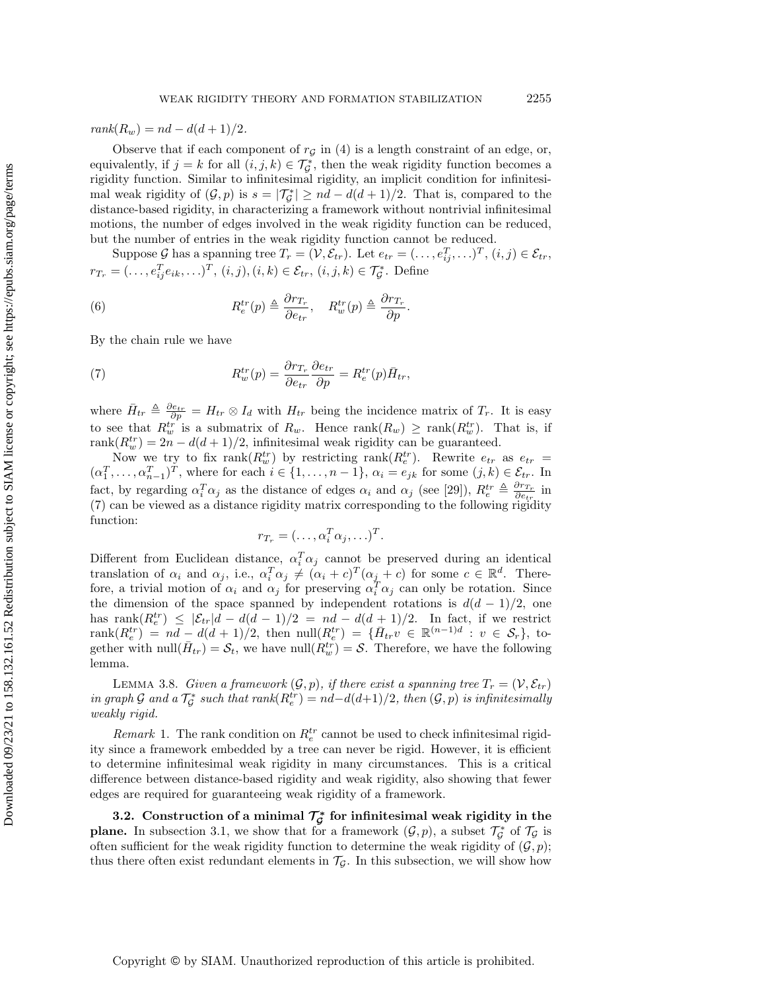$rank(R_w) = nd - d(d+1)/2.$ 

Observe that if each component of  $r_{\mathcal{G}}$  in [\(4\)](#page-5-2) is a length constraint of an edge, or, equivalently, if  $j = k$  for all  $(i, j, k) \in \mathcal{T}_{\mathcal{G}}^*$ , then the weak rigidity function becomes a rigidity function. Similar to infinitesimal rigidity, an implicit condition for infinitesimal weak rigidity of  $(\mathcal G , p)$  is  $s = |\mathcal T_{\mathcal G}^*| \geq nd - d(d + 1)/2$ . That is, compared to the distance-based rigidity, in characterizing a framework without nontrivial infinitesimal motions, the number of edges involved in the weak rigidity function can be reduced, but the number of entries in the weak rigidity function cannot be reduced.

Suppose  $\mathcal G$  has a spanning tree  $T_r = (\mathcal V, \mathcal E_{tr})$ . Let  $e_{tr} = (\ldots, e_{ij}^T, \ldots)^T$ ,  $(i, j) \in \mathcal E_{tr}$ ,  $r_{T_r} = (\ldots, e_{ij}^T e_{ik}, \ldots)^T, (i, j), (i, k) \in \mathcal{E}_{tr}, (i, j, k) \in \mathcal{T}_{\mathcal{G}}^*$ . Define

(6) 
$$
R_e^{tr}(p) \triangleq \frac{\partial r_{T_r}}{\partial e_{tr}}, \quad R_w^{tr}(p) \triangleq \frac{\partial r_{T_r}}{\partial p}.
$$

By the chain rule we have

<span id="page-7-1"></span>(7) 
$$
R_w^{tr}(p) = \frac{\partial r_{T_r}}{\partial e_{tr}} \frac{\partial e_{tr}}{\partial p} = R_e^{tr}(p) \bar{H}_{tr},
$$

where  $\bar{H}_{tr} \triangleq \frac{\partial e_{tr}}{\partial p} = H_{tr} \otimes I_d$  with  $H_{tr}$  being the incidence matrix of  $T_r$ . It is easy to see that  $R_w^{tr}$  is a submatrix of  $R_w$ . Hence  $\text{rank}(R_w) \geq \text{rank}(R_w^{tr})$ . That is, if rank $(R_w^{tr}) = 2n - d(d+1)/2$ , infinitesimal weak rigidity can be guaranteed.

Now we try to fix  $\text{rank}(R_w^{tr})$  by restricting  $\text{rank}(R_e^{tr})$ . Rewrite  $e_{tr}$  as  $e_{tr}$  =  $(\alpha_1^T, \ldots, \alpha_{n-1}^T)^T$ , where for each  $i \in \{ 1, \ldots, n-1 \}$ ,  $\alpha_i = e_{jk}$  for some  $(j, k) \in \mathcal{E}_{tr}$ . In fact, by regarding  $\alpha_i^T \alpha_j$  as the distance of edges  $\alpha_i$  and  $\alpha_j$  (see [\[29\]](#page-24-16)),  $R_e^{tr} \triangleq \frac{\partial r_{Tr}}{\partial e_{tr}}$  in [\(7\)](#page-7-1) can be viewed as a distance rigidity matrix corresponding to the following rigidity function:

$$
r_{T_r} = (\ldots, \alpha_i^T \alpha_j, \ldots)^T.
$$

Different from Euclidean distance,  $\alpha_i^T \alpha_j$  cannot be preserved during an identical translation of  $\alpha_i$  and  $\alpha_j$ , i.e.,  $\alpha_i^T \alpha_j \neq (\alpha_i + c)^T (\alpha_j + c)$  for some  $c \in \mathbb{R}^d$ . Therefore, a trivial motion of  $\alpha_i$  and  $\alpha_j$  for preserving  $\alpha_i^T \alpha_j$  can only be rotation. Since the dimension of the space spanned by independent rotations is  $d(d-1)/2$ , one has rank $(R_e^{tr}) \leq |\mathcal{E}_{tr}| d - d(d-1)/2 = nd - d(d+1)/2$ . In fact, if we restrict  $rank(R_e^{tr}) = nd - d(d + 1)/2$ , then  $null(R_e^{tr}) = \{H_{tr} v \in \mathbb{R}^{(n-1)d} : v \in \mathcal{S}_r\}$ , together with  $null(\bar{H}_{tr}) = \mathcal{S}_t$ , we have  $null(R_w^{tr}) = \mathcal{S}$ . Therefore, we have the following lemma.

<span id="page-7-2"></span>LEMMA 3.8. Given a framework  $(\mathcal G, p)$ , if there exist a spanning tree  $T_r = (\mathcal V, \mathcal E_{tr})$ in graph  $\mathcal G$  and a  $\mathcal T^*_{\mathcal G}$  such that  $rank(R_e^{tr}) = nd-d(d+1)/2$ , then  $(\mathcal G, p)$  is infinitesimally weakly rigid.

<span id="page-7-3"></span>Remark 1. The rank condition on  $R_e^{tr}$  cannot be used to check infinitesimal rigidity since a framework embedded by a tree can never be rigid. However, it is efficient to determine infinitesimal weak rigidity in many circumstances. This is a critical difference between distance-based rigidity and weak rigidity, also showing that fewer edges are required for guaranteeing weak rigidity of a framework.

<span id="page-7-0"></span>3.2. Construction of a minimal  $\mathcal T_{\mathcal G}^*$  for infinitesimal weak rigidity in the **plane.** In subsection [3.1,](#page-5-3) we show that for a framework  $(\mathcal{G}, p)$ , a subset  $\mathcal{T}_{\mathcal{G}}^*$  of  $\mathcal{T}_{\mathcal{G}}$  is often sufficient for the weak rigidity function to determine the weak rigidity of  $(\mathcal{G}, p)$ ; thus there often exist redundant elements in  $\mathcal{T}_\mathcal{G}$ . In this subsection, we will show how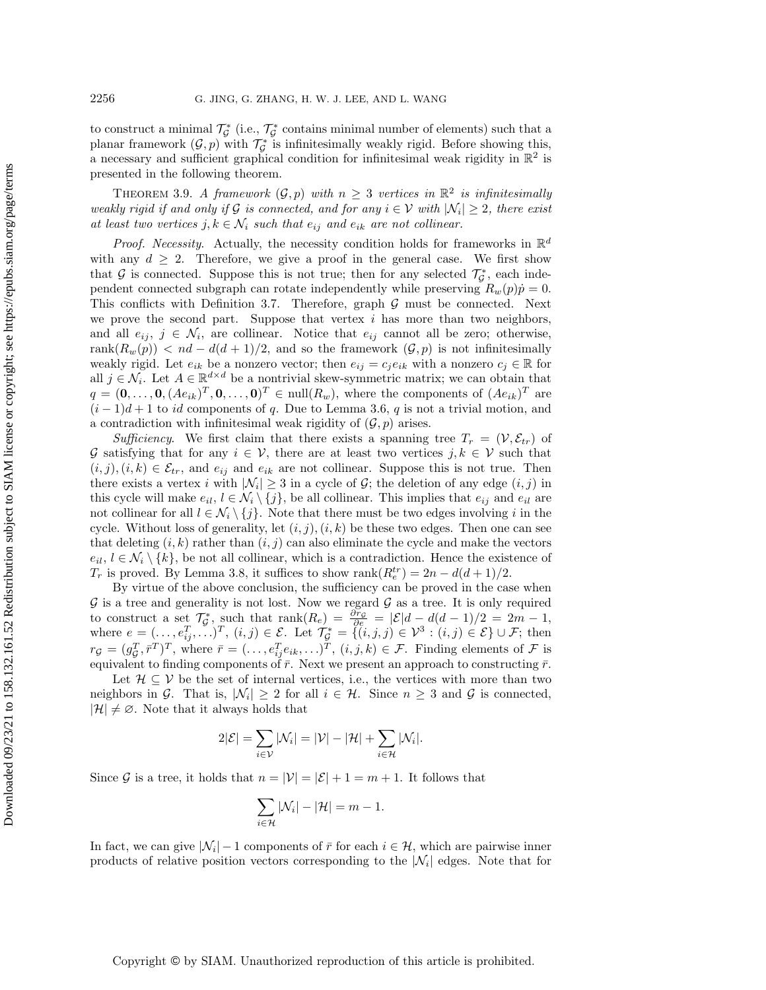to construct a minimal  $\mathcal{T}_{\mathcal{G}}^*$  (i.e.,  $\mathcal{T}_{\mathcal{G}}^*$  contains minimal number of elements) such that a planar framework  $(\mathcal{G}, p)$  with  $\mathcal{T}_{\mathcal{G}}^*$  is infinitesimally weakly rigid. Before showing this, a necessary and sufficient graphical condition for infinitesimal weak rigidity in  $\Bbb R^2$  is presented in the following theorem.

<span id="page-8-0"></span>THEOREM 3.9. A framework  $(\mathcal{G}, p)$  with  $n \geq 3$  vertices in  $\Bbb R^2$  is infinitesimally weakly rigid if and only if G is connected, and for any  $i \in \mathcal{V}$  with  $| \mathcal{N}_i | \geq 2$ , there exist at least two vertices  $j, k \in \mathcal{N}_i$  such that  $e_{ij}$  and  $e_{ik}$  are not collinear.

*Proof.* Necessity. Actually, the necessity condition holds for frameworks in  $\mathbb R^d$ with any  $d \geq 2$ . Therefore, we give a proof in the general case. We first show that  $\mathcal G$  is connected. Suppose this is not true; then for any selected  $\mathcal T^*_{\mathcal G}$ , each independent connected subgraph can rotate independently while preserving  $R_w(p) \dot{p} = 0$ . This conflicts with Definition [3.7.](#page-6-1) Therefore, graph  $\mathcal G$  must be connected. Next we prove the second part. Suppose that vertex  $i$  has more than two neighbors, and all  $e_{ij}, j \in \mathcal{N}_i$ , are collinear. Notice that  $e_{ij}$  cannot all be zero; otherwise, rank $(R_w(p)) < nd - d(d+1)/2$ , and so the framework  $(\mathcal{G}, p)$  is not infinitesimally weakly rigid. Let  $e_{ik}$  be a nonzero vector; then  $e_{ij} = c_j e_{ik}$  with a nonzero  $c_j \in \mathbb{R}$  for all  $j \in \mathcal{N}_i$ . Let  $A \in \mathbb{R}^{d \times d}$  be a nontrivial skew-symmetric matrix; we can obtain that  $q = (0, \ldots, 0, (Ae_{ik})^T, 0, \ldots, 0)^T \in \text{null}(R_w)$ , where the components of  $(Ae_{ik})^T$  are  $(i-1)d+1$  to id components of q. Due to Lemma [3.6,](#page-6-2) q is not a trivial motion, and a contradiction with infinitesimal weak rigidity of  $(\mathcal{G}, p)$  arises.

Sufficiency. We first claim that there exists a spanning tree  $T_r = (\mathcal{V}, \mathcal{E}_{tr})$  of  $\mathcal G$  satisfying that for any  $i \in \mathcal V$ , there are at least two vertices  $j, k \in \mathcal V$  such that  $(i, j), (i, k) \in \mathcal{E}_{tr}$ , and  $e_{ij}$  and  $e_{ik}$  are not collinear. Suppose this is not true. Then there exists a vertex i with  $|\mathcal{N}_i| \geq 3$  in a cycle of  $\mathcal{G}$ ; the deletion of any edge  $(i, j)$  in this cycle will make  $e_{il}$ ,  $l \in \mathcal{N}_i \setminus \{ j\}$ , be all collinear. This implies that  $e_{ij}$  and  $e_{il}$  are not collinear for all  $l \in \mathcal{N}_i \setminus \{ j\}$ . Note that there must be two edges involving i in the cycle. Without loss of generality, let  $(i, j), (i, k)$  be these two edges. Then one can see that deleting  $(i, k)$  rather than  $(i, j)$  can also eliminate the cycle and make the vectors  $e_{il}, l \in \mathcal{N}_i \setminus \{ k\}$ , be not all collinear, which is a contradiction. Hence the existence of  $T_r$  is proved. By Lemma [3.8,](#page-7-2) it suffices to show  $\text{rank}(R_e^{tr}) = 2n - d(d+1)/2$ .

By virtue of the above conclusion, the sufficiency can be proved in the case when  $\mathcal G$  is a tree and generality is not lost. Now we regard  $\mathcal G$  as a tree. It is only required to construct a set  $\mathcal{T}_{\mathcal{G}}^*$ , such that  $\text{rank}(R_e) = \frac{\partial r_{\mathcal{G}}}{\partial e} = |\mathcal{E}|d - d(d - 1)/2 = 2m - 1$ , where  $e = (\ldots, e_{ij}^T, \ldots)^T$ ,  $(i, j) \in \mathcal{E}$ . Let  $\mathcal{T}_{\mathcal{G}}^* = \{ (i, j, j) \in \mathcal{V}^3 : (i, j) \in \mathcal{E} \} \cup \mathcal{F}$ ; then  $r_{\mathcal{G}} = (g_{\mathcal{G}}^T, \bar{r}^T)^T$ , where  $\bar{r} = (\ldots, e_{ij}^T e_{ik}, \ldots)^T$ ,  $(i, j, k) \in \mathcal{F}$ . Finding elements of  $\mathcal F$  is equivalent to finding components of  $\bar{r}$ . Next we present an approach to constructing  $\bar{r}$ .

Let  $\mathcal{H} \subseteq \mathcal{V}$  be the set of internal vertices, i.e., the vertices with more than two neighbors in  $\mathcal{G}$ . That is,  $| \mathcal{N}_i | \geq 2$  for all  $i \in \mathcal{H}$ . Since  $n \geq 3$  and  $\mathcal{G}$  is connected,  $|\mathcal{H}| \neq \emptyset$ . Note that it always holds that

$$
2|\mathcal{E}| = \sum_{i \in \mathcal{V}} |\mathcal{N}_i| = |\mathcal{V}| - |\mathcal{H}| + \sum_{i \in \mathcal{H}} |\mathcal{N}_i|.
$$

Since  $\mathcal G$  is a tree, it holds that  $n = |\mathcal V| = |\mathcal E| + 1 = m + 1$ . It follows that

$$
\sum_{i\in\mathcal{H}}|\mathcal{N}_i|-|\mathcal{H}|=m-1.
$$

In fact, we can give  $|\mathcal{N}_i| - 1$  components of  $\bar{r}$  for each  $i \in \mathcal{H}$ , which are pairwise inner products of relative position vectors corresponding to the  $|\mathcal{N}_i|$  edges. Note that for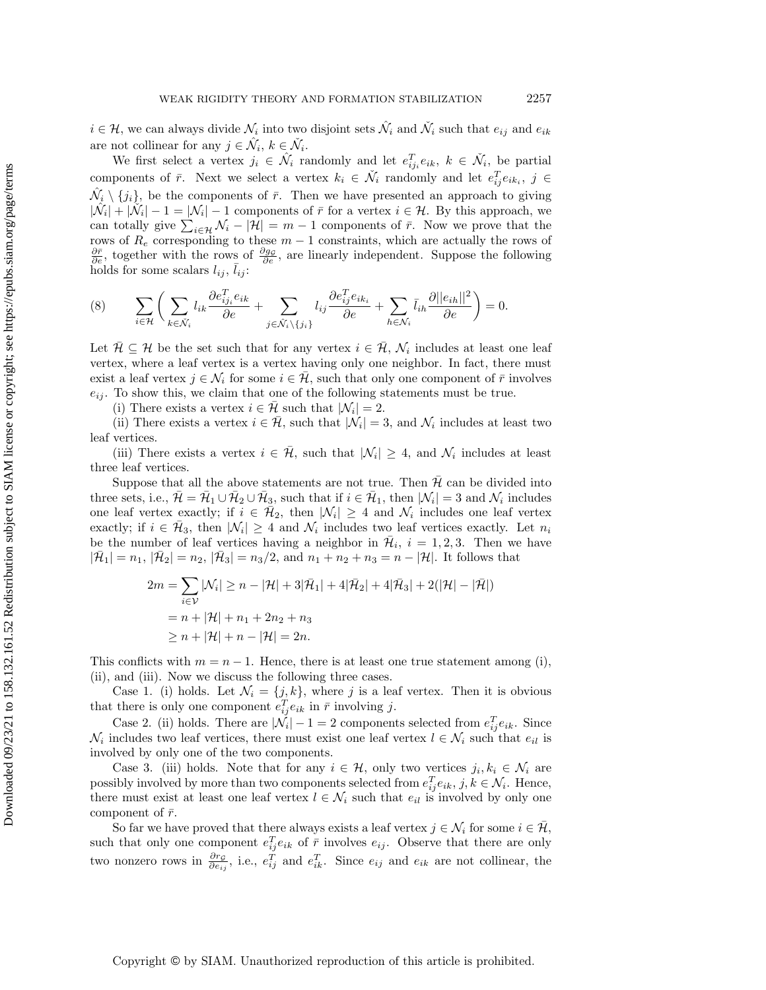$i \in \mathcal{H}$ , we can always divide  $\mathcal{N}_i$  into two disjoint sets  $\hat{\mathcal{N}}_i$  and  $\check{\mathcal{N}}_i$  such that  $e_{ij}$  and  $e_{ik}$ are not collinear for any  $j \in \hat{\mathcal{N}}_i, k \in \check{\mathcal{N}}_i$ .

We first select a vertex  $j_i \in \hat{\mathcal{N}}_i$  randomly and let  $e_{ij_i}^T e_{ik}, k \in \check{\mathcal{N}}_i$ , be partial components of  $\bar{r}$ . Next we select a vertex  $k_i \in \check{\mathcal{N}}_i$  randomly and let  $e_{ij}^T e_{ik_i}, j \in$  $\hat{\mathcal{N}}_i \setminus \{ j_i\}$ , be the components of  $\bar{r}$ . Then we have presented an approach to giving  $|\hat{\mathcal{N}}_i| + |\tilde{\mathcal{N}}_i| - 1 = |\mathcal{N}_i| - 1$  components of  $\bar{r}$  for a vertex  $i \in \mathcal{H}$ . By this approach, we can totally give  $\sum_{i\in \mathcal{H}} \mathcal{N}_i - |\mathcal{H}| = m - 1$  components of  $\bar{r}$ . Now we prove that the rows of  $R_e$  corresponding to these  $m-1$  constraints, which are actually the rows of  $\frac{\partial \bar{r}}{\partial e}$ , together with the rows of  $\frac{\partial g_{\mathcal{G}}}{\partial e}$ , are linearly independent. Suppose the following holds for some scalars  $l_{ij}$ ,  $\bar{l}_{ij}$ :

<span id="page-9-0"></span>
$$
(8) \qquad \sum_{i\in\mathcal{H}}\bigg(\sum_{k\in\tilde{\mathcal{N}}_{i}}l_{ik}\frac{\partial e_{ij_{i}}^{T}e_{ik}}{\partial e}+\sum_{j\in\hat{\mathcal{N}}_{i}\backslash\{j_{i}\}}l_{ij}\frac{\partial e_{ij}^{T}e_{ik_{i}}}{\partial e}+\sum_{h\in\mathcal{N}_{i}}\bar{l}_{ih}\frac{\partial||e_{ih}||^{2}}{\partial e}\bigg)=0.
$$

Let  $\bar{\mathcal{H}} \subseteq \mathcal{H}$  be the set such that for any vertex  $i \in \bar{\mathcal{H}}$ ,  $\mathcal{N}_i$  includes at least one leaf vertex, where a leaf vertex is a vertex having only one neighbor. In fact, there must exist a leaf vertex  $j \in \mathcal{N}_i$  for some  $i \in \mathcal{H}$ , such that only one component of  $\bar{r}$  involves  $e_{ij}$ . To show this, we claim that one of the following statements must be true.

(i) There exists a vertex  $i \in \bar{\mathcal{H}}$  such that  $| \mathcal{N}_i | = 2$ .

(ii) There exists a vertex  $i \in \overline{\mathcal{H}}$ , such that  $| \mathcal{N}_i | = 3$ , and  $\mathcal{N}_i$  includes at least two leaf vertices.

(iii) There exists a vertex  $i \in \bar{\mathcal{H}}$ , such that  $| \mathcal{N}_i | \geq 4$ , and  $\mathcal{N}_i$  includes at least three leaf vertices.

Suppose that all the above statements are not true. Then  $\overline{\mathcal{H}}$  can be divided into three sets, i.e.,  $\bar{\mathcal{H}} = \bar{\mathcal{H}}_1 \cup \bar{\mathcal{H}}_2 \cup \bar{\mathcal{H}}_3$ , such that if  $i \in \bar{\mathcal{H}}_1$ , then  $| \mathcal{N}_i | = 3$  and  $\mathcal{N}_i$  includes one leaf vertex exactly; if  $i \in \mathcal{H}_2$ , then  $| \mathcal{N}_i | \geq 4$  and  $\mathcal{N}_i$  includes one leaf vertex exactly; if  $i \in \overline{\mathcal{H}}_3$ , then  $| \mathcal{N}_i | \geq 4$  and  $\mathcal{N}_i$  includes two leaf vertices exactly. Let  $n_i$ be the number of leaf vertices having a neighbor in  $\bar{\mathcal{H}}_i$ ,  $i = 1, 2, 3$ . Then we have  $| \bar{H}_1 | = n_1, | \bar{H}_2 | = n_2, | \bar{H}_3 | = n_3/2$ , and  $n_1 + n_2 + n_3 = n - | \mathcal{H} |$ . It follows that

$$
2m = \sum_{i \in \mathcal{V}} |\mathcal{N}_i| \ge n - |\mathcal{H}| + 3|\bar{\mathcal{H}}_1| + 4|\bar{\mathcal{H}}_2| + 4|\bar{\mathcal{H}}_3| + 2(|\mathcal{H}| - |\bar{\mathcal{H}}|)
$$
  
=  $n + |\mathcal{H}| + n_1 + 2n_2 + n_3$   
 $\ge n + |\mathcal{H}| + n - |\mathcal{H}| = 2n$ .

This conflicts with  $m = n - 1$ . Hence, there is at least one true statement among (i), (ii), and (iii). Now we discuss the following three cases.

Case 1. (i) holds. Let  $\mathcal{N}_i = \{ j, k\}$ , where j is a leaf vertex. Then it is obvious that there is only one component  $e_{ij}^T e_{ik}$  in  $\bar{r}$  involving j.

Case 2. (ii) holds. There are  $|\mathcal{N}_i| - 1 = 2$  components selected from  $e_{ij}^T e_{ik}$ . Since  $\mathcal{N}_i$  includes two leaf vertices, there must exist one leaf vertex  $l \in \mathcal{N}_i$  such that  $e_{il}$  is involved by only one of the two components.

Case 3. (iii) holds. Note that for any  $i \in \mathcal{H}$ , only two vertices  $j_i, k_i \in \mathcal{N}_i$  are possibly involved by more than two components selected from  $e_{ij}^T e_{ik}, j, k \in \mathcal{N}_i$ . Hence, there must exist at least one leaf vertex  $l \in \mathcal{N}_i$  such that  $e_{il}$  is involved by only one component of  $\bar{r}$ .

So far we have proved that there always exists a leaf vertex  $j \in \mathcal{N}_i$  for some  $i \in \mathcal{H}$ , such that only one component  $e_{ij}^T e_{ik}$  of  $\bar{r}$  involves  $e_{ij}$ . Observe that there are only two nonzero rows in  $\frac{\partial r_g}{\partial e_{ij}}$ , i.e.,  $e_{ij}^T$  and  $e_{ik}^T$ . Since  $e_{ij}$  and  $e_{ik}$  are not collinear, the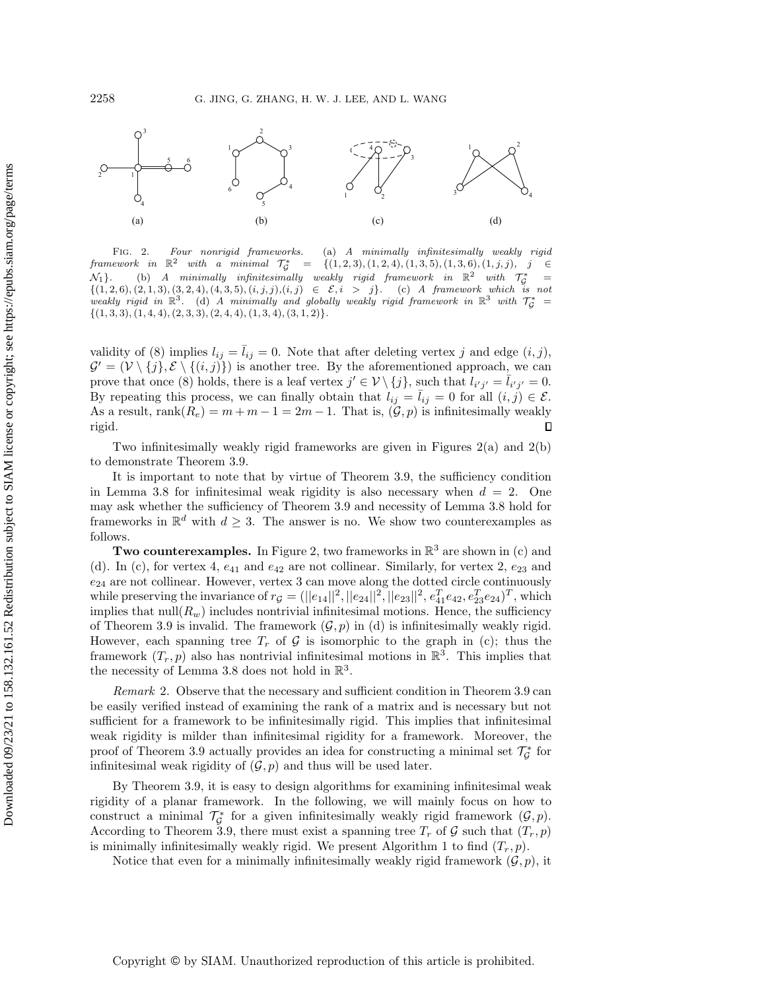<span id="page-10-0"></span>

Fig. 2. Four nonrigid frameworks. (a) A minimally infinitesimally weakly rigid  $\emph{framework} \quad \emph{in} \quad \mathbb{R}^2 \quad \emph{with} \quad \emph{a} \quad \emph{minimal} \quad \tau_\mathcal{G}^* \quad = \quad \{(1, 2, 3), (1, 2, 4), (1, 3, 5), (1, 3, 6), (1, j, j), \quad j \quad \in \mathbb{R}^2 \quad \text{with} \quad \text{a} \quad \text{minimal} \quad \tau_\mathcal{G}^* \quad = \quad \text{a} \quad \text{a} \quad \text{b} \quad \text{b} \quad \text{c} \quad \text{d} \quad \text{d} \quad \text{d} \$  $\mathcal{N}_1$  (b) A minimally infinitesimally weakly rigid framework in  $\Bbb R^2$  with  $\mathcal{T}_{\zeta}^* = \{(1, 2, 6), (2, 1, 3), (3, 2, 4), (4, 3, 5), (i, j, j), (i, j) \in \mathcal{E}, i > j\}$ . (c) A framework which is not weakly rigid in  $\mathbb{R}^3$ . (d) A minimally and globally weakly rigid framework in  $\mathbb{R}^3$  with  $\mathcal{T}_\mathcal{G}^*$  $\{ (1, 3, 3), (1, 4, 4), (2, 3, 3), (2, 4, 4), (1, 3, 4), (3, 1, 2)\}.$ 

validity of [\(8\)](#page-9-0) implies  $l_{ij} = l_{ij} = 0$ . Note that after deleting vertex j and edge  $(i, j)$ ,  $\mathcal{G}' = (\mathcal{V} \setminus \{ j\}, \mathcal{E} \setminus \{ (i, j)\})$  is another tree. By the aforementioned approach, we can prove that once [\(8\)](#page-9-0) holds, there is a leaf vertex  $j' \in \mathcal{V} \setminus \{j\}$ , such that  $l_{i'j'} = \overline{l}_{i'j'} = 0$ . By repeating this process, we can finally obtain that  $l_{ij} = l_{ij} = 0$  for all  $(i, j) \in \mathcal{E}$ . As a result, rank $(R_e) = m + m - 1 = 2m - 1$ . That is,  $(\mathcal{G}, p)$  is infinitesimally weakly rigid.  $\Box$ 

Two infinitesimally weakly rigid frameworks are given in Figures  $2(a)$  and  $2(b)$ to demonstrate Theorem [3.9.](#page-8-0)

It is important to note that by virtue of Theorem [3.9,](#page-8-0) the sufficiency condition in Lemma [3.8](#page-7-2) for infinitesimal weak rigidity is also necessary when  $d = 2$ . One may ask whether the sufficiency of Theorem [3.9](#page-8-0) and necessity of Lemma [3.8](#page-7-2) hold for frameworks in  $\mathbb{R}^d$  with  $d \geq 3$ . The answer is no. We show two counterexamples as follows.

Two counterexamples. In Figure [2,](#page-10-0) two frameworks in  $\mathbb{R}^3$  are shown in (c) and (d). In (c), for vertex 4,  $e_{41}$  and  $e_{42}$  are not collinear. Similarly, for vertex 2,  $e_{23}$  and  $e_{24}$  are not collinear. However, vertex 3 can move along the dotted circle continuously while preserving the invariance of  $r_g = (||e_{14}||^2, ||e_{24}||^2, ||e_{23}||^2, e_{41}^T e_{42}, e_{23}^T e_{24})^T$ , which implies that  $null(R_w)$  includes nontrivial infinitesimal motions. Hence, the sufficiency of Theorem [3.9](#page-8-0) is invalid. The framework  $(\mathcal{G}, p)$  in (d) is infinitesimally weakly rigid. However, each spanning tree  $T_r$  of  $\mathcal G$  is isomorphic to the graph in (c); thus the framework  $(T_r, p)$  also has nontrivial infinitesimal motions in  $\mathbb{R}^3$ . This implies that the necessity of Lemma [3.8](#page-7-2) does not hold in  $\mathbb{R}^3$ .

<span id="page-10-1"></span>Remark 2. Observe that the necessary and sufficient condition in Theorem [3.9](#page-8-0) can be easily verified instead of examining the rank of a matrix and is necessary but not sufficient for a framework to be infinitesimally rigid. This implies that infinitesimal weak rigidity is milder than infinitesimal rigidity for a framework. Moreover, the proof of Theorem [3.9](#page-8-0) actually provides an idea for constructing a minimal set  $\mathcal{T}_{\mathcal{G}}^*$  for infinitesimal weak rigidity of  $(\mathcal{G}, p)$  and thus will be used later.

By Theorem [3.9,](#page-8-0) it is easy to design algorithms for examining infinitesimal weak rigidity of a planar framework. In the following, we will mainly focus on how to construct a minimal  $\mathcal{T}_{\mathcal{G}}^*$  for a given infinitesimally weakly rigid framework  $(\mathcal{G}, p)$ . According to Theorem [3.9,](#page-8-0) there must exist a spanning tree  $T_r$  of  $\mathcal G$  such that  $(T_r, p)$ is minimally infinitesimally weakly rigid. We present Algorithm [1](#page-11-1) to find  $(T_r, p)$ .

Notice that even for a minimally infinitesimally weakly rigid framework  $(\mathcal{G}, p)$ , it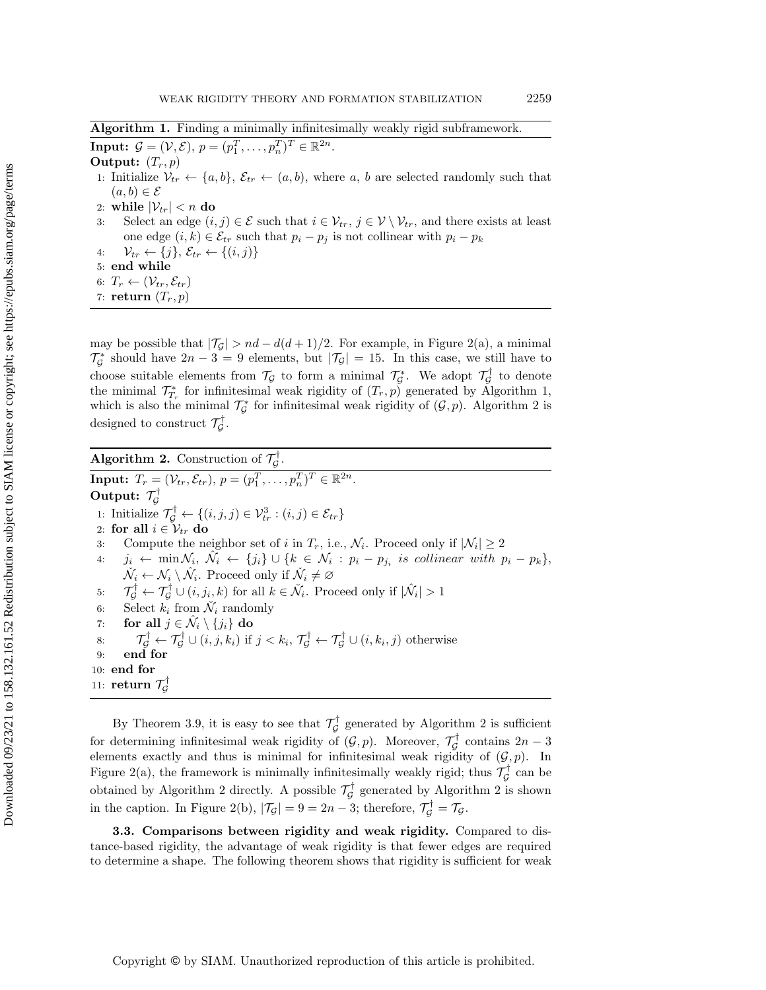Algorithm 1. Finding a minimally infinitesimally weakly rigid subframework.

<span id="page-11-1"></span>**Input:**  $\mathcal{G} = (\mathcal{V}, \mathcal{E}), p = (p_1^T, \dots, p_n^T)^T \in \mathbb{R}^{2n}$ . Output:  $(T_r, p)$ 

- 1: Initialize  $\mathcal{V}_{tr} \leftarrow \{ a, b\} , \mathcal{E}_{tr} \leftarrow (a, b),$  where a, b are selected randomly such that  $(a, b) \in \mathcal{E}$
- 2: while  $| \mathcal{V}_{tr} | < n$  do
- 3: Select an edge  $(i, j) \in \mathcal{E}$  such that  $i \in \mathcal{V}_t$ ,  $j \in \mathcal{V} \setminus \mathcal{V}_{tr}$ , and there exists at least one edge  $(i, k) \in \mathcal{E}_{tr}$  such that  $p_i - p_j$  is not collinear with  $p_i - p_k$
- 4:  $\mathcal{V}_{tr} \leftarrow \{ j\} , \mathcal{E}_{tr} \leftarrow \{ (i, j)\}$
- 5: end while
- 6:  $T_r \leftarrow (\mathcal V_{tr}, \mathcal E_{tr})$
- 7: return  $(T_r, p)$

may be possible that  $|\mathcal{T}_G | > nd - d(d + 1)/2$ . For example, in Figure [2\(](#page-10-0)a), a minimal  $\mathcal{T}_{\mathcal{G}}^*$  should have  $2n - 3 = 9$  elements, but  $|\mathcal{T}_{\mathcal{G}}| = 15$ . In this case, we still have to choose suitable elements from  $\mathcal{T}_\mathcal{G}$  to form a minimal  $\mathcal{T}_\mathcal{G}^*$ . We adopt  $\mathcal{T}_\mathcal{G}^\dagger$  to denote the minimal  $\mathcal{T}_{T_r}^*$  for infinitesimal weak rigidity of  $(T_r, p)$  generated by Algorithm [1,](#page-11-1) which is also the minimal  $\mathcal{T}_{\mathcal{G}}^*$  for infinitesimal weak rigidity of  $(\mathcal{G}, p)$ . Algorithm [2](#page-11-2) is designed to construct  $\mathcal{T}_{\mathcal{G}}^{\dagger}$ .

Algorithm 2. Construction of  $\mathcal{T}_{\mathcal{G}}^{\dagger}$ .

<span id="page-11-2"></span>**Input:**  $T_r = (\mathcal V_{tr}, \mathcal E_{tr}), \ p = (p_1^T, \dots, p_n^T)^T \in \mathbb R^{2n}$ . Output:  $\tau_{\!\scriptscriptstyle \mathcal G}^\dagger$ 1: Initialize  $\mathcal{T}_{\mathcal{G}}^{\dagger} \leftarrow \{ (i, j, j) \in \mathcal{V}_{tr}^3 : (i, j) \in \mathcal{E}_{tr}\}$ 2: for all  $i \in \mathcal{V}_{tr}$  do 3: Compute the neighbor set of i in  $T_r$ , i.e.,  $\mathcal{N}_i$ . Proceed only if  $|\mathcal{N}_i| \geq 2$  $4: \quad j_i \leftarrow \min \mathcal{N}_i, \ \hat{\mathcal{N}_i} \leftarrow \{ j_i\} \cup \{ k \in \mathcal{N}_i : p_i - p_{j_i} \text{ is collinear with } p_i - p_k\},$  $\check{N}_i \leftarrow \mathcal{N}_i \setminus \hat{\mathcal{N}}_i$ . Proceed only if  $\check{N}_i \neq \varnothing$ 5:  $\tau_g^{\dagger} \leftarrow \tau_g^{\dagger} \cup (i, j_i, k)$  for all  $k \in \check{\mathcal{N}}_i$ . Proceed only if  $|\hat{\mathcal{N}}_i| > 1$ 6: Select  $k_i$  from  $\check{\mathcal{N}}_i$  randomly 7: for all  $j \in \hat{\mathcal{N}}_i \setminus \{ j_i\}$  do 8:  $\mathcal{T}_{\mathcal{G}}^{\dagger} \leftarrow \mathcal{T}_{\mathcal{G}}^{\dagger} \cup (i, j, k_i) \text{ if } j < k_i, \mathcal{T}_{\mathcal{G}}^{\dagger} \leftarrow \mathcal{T}_{\mathcal{G}}^{\dagger} \cup (i, k_i, j) \text{ otherwise}$ 9: end for 10: end for  $_{{\rm 11}:}$  return  $\mathcal{T}_\mathcal{G}^\dagger$ 

By Theorem [3.9,](#page-8-0) it is easy to see that  $\mathcal{T}_{\mathcal{G}}^{\dagger}$  generated by Algorithm [2](#page-11-2) is sufficient for determining infinitesimal weak rigidity of  $(\mathcal{G}, p)$ . Moreover,  $\mathcal{T}_{\mathcal{G}}^{\dagger}$  contains  $2n - 3$ elements exactly and thus is minimal for infinitesimal weak rigidity of  $(\mathcal{G}, p)$ . In Figure [2\(](#page-10-0)a), the framework is minimally infinitesimally weakly rigid; thus  $\mathcal{T}_{\mathcal{G}}^{\dagger}$  can be obtained by Algorithm [2](#page-11-2) directly. A possible  $\mathcal{T}_{\mathcal{G}}^{\dagger}$  generated by Algorithm 2 is shown in the caption. In Figure [2\(](#page-10-0)b),  $|\mathcal{T}_{\mathcal{G}}| = 9 = 2n - 3$ ; therefore,  $\mathcal{T}_{\mathcal{G}}^{\dagger} = \mathcal{T}_{\mathcal{G}}$ .

<span id="page-11-0"></span>3.3. Comparisons between rigidity and weak rigidity. Compared to distance-based rigidity, the advantage of weak rigidity is that fewer edges are required to determine a shape. The following theorem shows that rigidity is sufficient for weak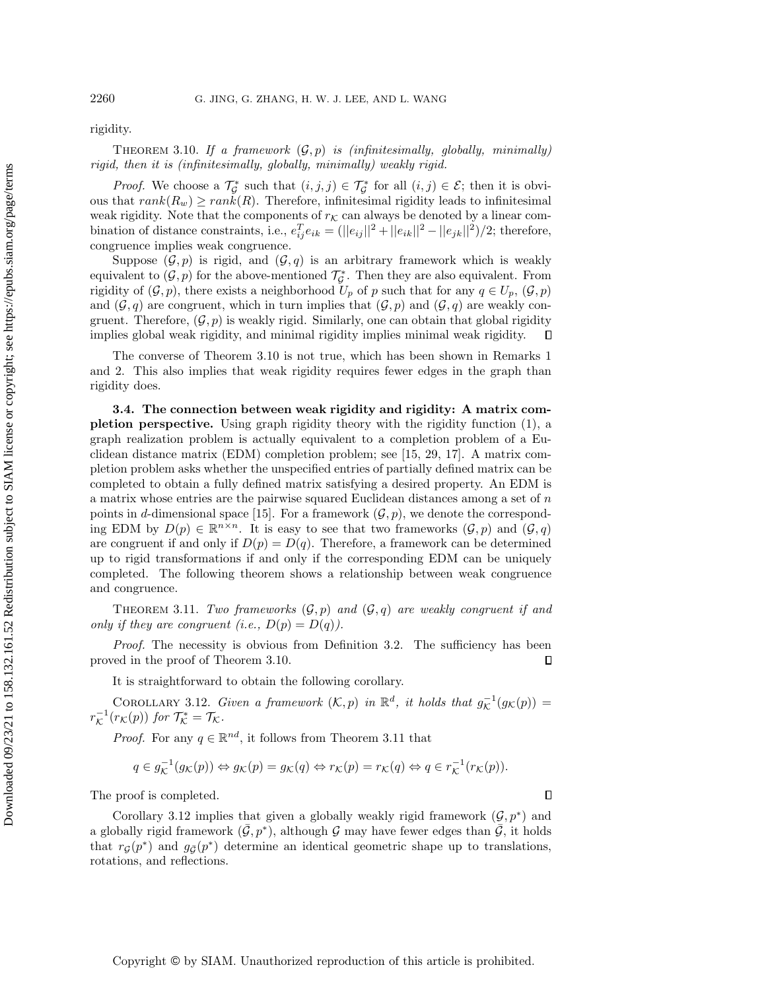rigidity.

<span id="page-12-0"></span>THEOREM 3.10. If a framework  $(\mathcal{G}, p)$  is (infinitesimally, globally, minimally) rigid, then it is (infinitesimally, globally, minimally) weakly rigid.

*Proof.* We choose a  $\mathcal{T}_{\mathcal{G}}^*$  such that  $(i, j, j) \in \mathcal{T}_{\mathcal{G}}^*$  for all  $(i, j) \in \mathcal{E}$ ; then it is obvious that  $rank(R_w) \geq rank(R)$ . Therefore, infinitesimal rigidity leads to infinitesimal weak rigidity. Note that the components of  $r<sub>K</sub>$  can always be denoted by a linear combination of distance constraints, i.e.,  $e_{ij}^T e_{ik} = (||e_{ij}||^2 + ||e_{ik}||^2 - ||e_{jk}||^2)/2$ ; therefore, congruence implies weak congruence.

Suppose  $(\mathcal G, p)$  is rigid, and  $(\mathcal G, q)$  is an arbitrary framework which is weakly equivalent to  $(\mathcal G, p)$  for the above-mentioned  $\mathcal T_{\mathcal G}^*$ . Then they are also equivalent. From rigidity of  $(\mathcal G, p)$ , there exists a neighborhood  $U_p$  of p such that for any  $q \in U_p, (\mathcal G, p)$ and  $(\mathcal{G}, q)$  are congruent, which in turn implies that  $(\mathcal{G}, p)$  and  $(\mathcal{G}, q)$  are weakly congruent. Therefore,  $(\mathcal{G}, p)$  is weakly rigid. Similarly, one can obtain that global rigidity implies global weak rigidity, and minimal rigidity implies minimal weak rigidity.  $\Box$ 

The converse of Theorem [3.10](#page-12-0) is not true, which has been shown in Remarks [1](#page-7-3) and [2.](#page-10-1) This also implies that weak rigidity requires fewer edges in the graph than rigidity does.

3.4. The connection between weak rigidity and rigidity: A matrix completion perspective. Using graph rigidity theory with the rigidity function [\(1\)](#page-3-2), a graph realization problem is actually equivalent to a completion problem of a Euclidean distance matrix (EDM) completion problem; see [\[15,](#page-24-14) [29,](#page-24-16) [17\]](#page-24-15). A matrix completion problem asks whether the unspecified entries of partially defined matrix can be completed to obtain a fully defined matrix satisfying a desired property. An EDM is a matrix whose entries are the pairwise squared Euclidean distances among a set of n points in d-dimensional space [\[15\]](#page-24-14). For a framework  $(\mathcal{G}, p)$ , we denote the corresponding EDM by  $D(p) \in \mathbb{R}^{n \times n}$ . It is easy to see that two frameworks  $(\mathcal{G}, p)$  and  $(\mathcal{G}, q)$ are congruent if and only if  $D(p) = D(q)$ . Therefore, a framework can be determined up to rigid transformations if and only if the corresponding EDM can be uniquely completed. The following theorem shows a relationship between weak congruence and congruence.

<span id="page-12-1"></span>THEOREM 3.11. Two frameworks  $(\mathcal{G}, p)$  and  $(\mathcal{G}, q)$  are weakly congruent if and only if they are congruent (i.e.,  $D(p) = D(q)$ ).

Proof. The necessity is obvious from Definition [3.2.](#page-5-4) The sufficiency has been proved in the proof of Theorem [3.10.](#page-12-0)  $\Box$ 

It is straightforward to obtain the following corollary.

<span id="page-12-2"></span>COROLLARY 3.12. Given a framework  $(\mathcal{K}, p)$  in  $\mathbb{R}^d$ , it holds that  $g_{\mathcal{K}}^{-1}(g_{\mathcal{K}}(p)) =$  $r^{-1}_\mathcal{K}(r_\mathcal{K}(p))$  for  $\mathcal{T}^*_\mathcal{K} = \mathcal{T}_\mathcal{K}$ .

*Proof.* For any  $q \in \mathbb{R}^{nd}$ , it follows from Theorem [3.11](#page-12-1) that

$$
q \in g_{\mathcal{K}}^{-1}(g_{\mathcal{K}}(p)) \Leftrightarrow g_{\mathcal{K}}(p) = g_{\mathcal{K}}(q) \Leftrightarrow r_{\mathcal{K}}(p) = r_{\mathcal{K}}(q) \Leftrightarrow q \in r_{\mathcal{K}}^{-1}(r_{\mathcal{K}}(p)).
$$

The proof is completed.

Corollary [3.12](#page-12-2) implies that given a globally weakly rigid framework  $(\mathcal{G}, p^*)$  and a globally rigid framework  $(\bar{\mathcal{G}}, p^*)$ , although  $\mathcal G$  may have fewer edges than  $\overline{\mathcal{G}}$ , it holds that  $r_{\mathcal{G}}(p^*)$  and  $g_{\mathcal{G}}(p^*)$  determine an identical geometric shape up to translations, rotations, and reflections.

Downloaded 09/23/21 to 158.132.161.52 Redistribution subject to SIAM license or copyright; see https://epubs.siam.org/page/terms Downloaded 09/23/21 to 158.132.161.52 Redistribution subject to SIAM license or copyright; see https://epubs.siam.org/page/terms

 $\Box$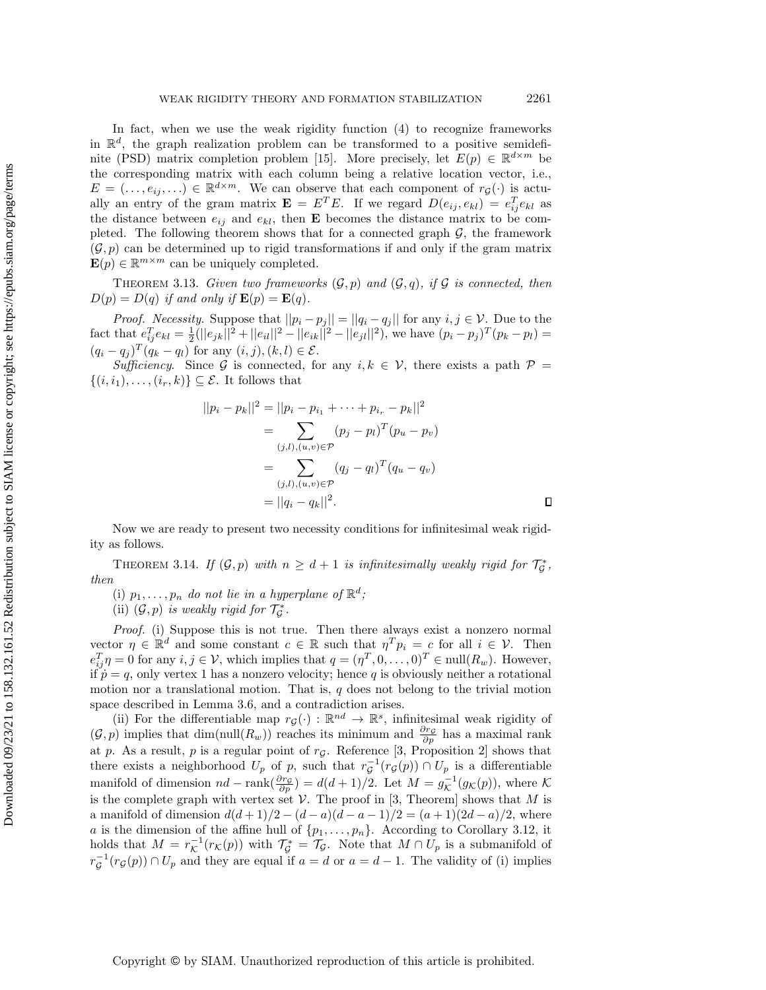In fact, when we use the weak rigidity function [\(4\)](#page-5-2) to recognize frameworks in  $\mathbb{R}^d$ , the graph realization problem can be transformed to a positive semidefi-nite (PSD) matrix completion problem [\[15\]](#page-24-14). More precisely, let  $E(p) \in \mathbb{R}^{d \times m}$  be the corresponding matrix with each column being a relative location vector, i.e.,  $E = (\ldots, e_{ij}, \ldots) \in \mathbb{R}^{d \times m}$ . We can observe that each component of  $r_{\mathcal{G}}(\cdot)$  is actually an entry of the gram matrix  $\mathbf{E} = E^T E$ . If we regard  $D(e_{ij}, e_{kl}) = e_{ij}^T e_{kl}$  as the distance between  $e_{ij}$  and  $e_{kl}$ , then **E** becomes the distance matrix to be completed. The following theorem shows that for a connected graph  $\mathcal{G}$ , the framework  $(\mathcal{G}, p)$  can be determined up to rigid transformations if and only if the gram matrix  $\mathbf{E}(p) \in \mathbb{R}^{m \times m}$  can be uniquely completed.

<span id="page-13-0"></span>THEOREM 3.13. Given two frameworks  $(\mathcal{G}, p)$  and  $(\mathcal{G}, q)$ , if  $\mathcal{G}$  is connected, then  $D(p) = D(q)$  if and only if  $\mathbf{E}(p) = \mathbf{E}(q)$ .

*Proof.* Necessity. Suppose that  $||p_i - p_j|| = ||q_i - q_j||$  for any  $i, j \in \mathcal{V}$ . Due to the fact that  $e_{ij}^T e_{kl} = \frac{1}{2} (||e_{jk}||^2 + ||e_{il}||^2 - ||e_{ik}||^2 - ||e_{jl}||^2)$ , we have  $(p_i - p_j)^T (p_k - p_l) =$  $(q_i - q_j)^T (q_k - q_l)$  for any  $(i, j), (k, l) \in \mathcal{E}$ .

Sufficiency. Since  $\mathcal G$  is connected, for any  $i, k \in \mathcal V$ , there exists a path  $\mathcal P =$  $\{ (i, i_1), \ldots, (i_r, k) \} \subseteq \mathcal{E}$ . It follows that

$$
||p_i - p_k||^2 = ||p_i - p_{i_1} + \dots + p_{i_r} - p_k||^2
$$
  
= 
$$
\sum_{(j,l),(u,v)\in\mathcal{P}} (p_j - p_l)^T (p_u - p_v)
$$
  
= 
$$
\sum_{(j,l),(u,v)\in\mathcal{P}} (q_j - q_l)^T (q_u - q_v)
$$
  
= 
$$
||q_i - q_k||^2.
$$

Now we are ready to present two necessity conditions for infinitesimal weak rigidity as follows.

<span id="page-13-1"></span>THEOREM 3.14. If  $(\mathcal G, p)$  with  $n \geq d + 1$  is infinitesimally weakly rigid for  $\mathcal T_{\mathcal G}^*$ , then

(i)  $p_1, \ldots, p_n$  do not lie in a hyperplane of  $\mathbb{R}^d$ ;

(ii)  $(\mathcal G, p)$  is weakly rigid for  $\mathcal T_{\mathcal G}^*$ .

Proof. (i) Suppose this is not true. Then there always exist a nonzero normal vector  $\eta \in \mathbb{R}^d$  and some constant  $c \in \mathbb{R}$  such that  $\eta^T p_i = c$  for all  $i \in \mathcal{V}$ . Then  $e_{ij}^T \eta = 0$  for any  $i, j \in \mathcal{V}$ , which implies that  $q = (\eta^T, 0, \dots, 0)^T \in \text{null}(R_w)$ . However, if  $\dot{p} = q$ , only vertex 1 has a nonzero velocity; hence q is obviously neither a rotational motion nor a translational motion. That is,  $q$  does not belong to the trivial motion space described in Lemma [3.6,](#page-6-2) and a contradiction arises.

(ii) For the differentiable map  $r_{\mathcal{G}}(\cdot) : \mathbb{R}^{nd} \to \mathbb{R}^s$ , infinitesimal weak rigidity of  $(\mathcal G, p)$  implies that  $\dim(\text{null}(R_w))$  reaches its minimum and  $\frac{\partial r\mathcal G}{\partial p}$  has a maximal rank at p. As a result, p is a regular point of  $r<sub>G</sub>$ . Reference [\[3,](#page-23-3) Proposition 2] shows that there exists a neighborhood  $U_p$  of p, such that  $r^{-1}_g(r_g(p)) \cap U_p$  is a differentiable manifold of dimension  $nd - \text{rank}(\frac{\partial r_g}{\partial p}) = d(d + 1)/2$ . Let  $M = g_{\mathcal{K}}^{-1}(g_{\mathcal{K}} (p))$ , where  $\mathcal K$ is the complete graph with vertex set  $\mathcal V$ . The proof in [\[3,](#page-23-3) Theorem] shows that M is a manifold of dimension  $d(d+1)/2 - (d-a)(d-a-1)/2 = (a+1)(2d-a)/2$ , where a is the dimension of the affine hull of  $\{p_1, \ldots, p_n\}$ . According to Corollary [3.12,](#page-12-2) it holds that  $M = r_{\mathcal{K}}^{-1}(r_{\mathcal{K}}(p))$  with  $\mathcal{T}_{\mathcal{G}}^* = \mathcal{T}_{\mathcal{G}}$ . Note that  $M \cap U_p$  is a submanifold of  $r_{\mathcal{G}}^{-1}(r_{\mathcal{G}}(p)) \cap U_p$  and they are equal if  $a = d$  or  $a = d - 1$ . The validity of (i) implies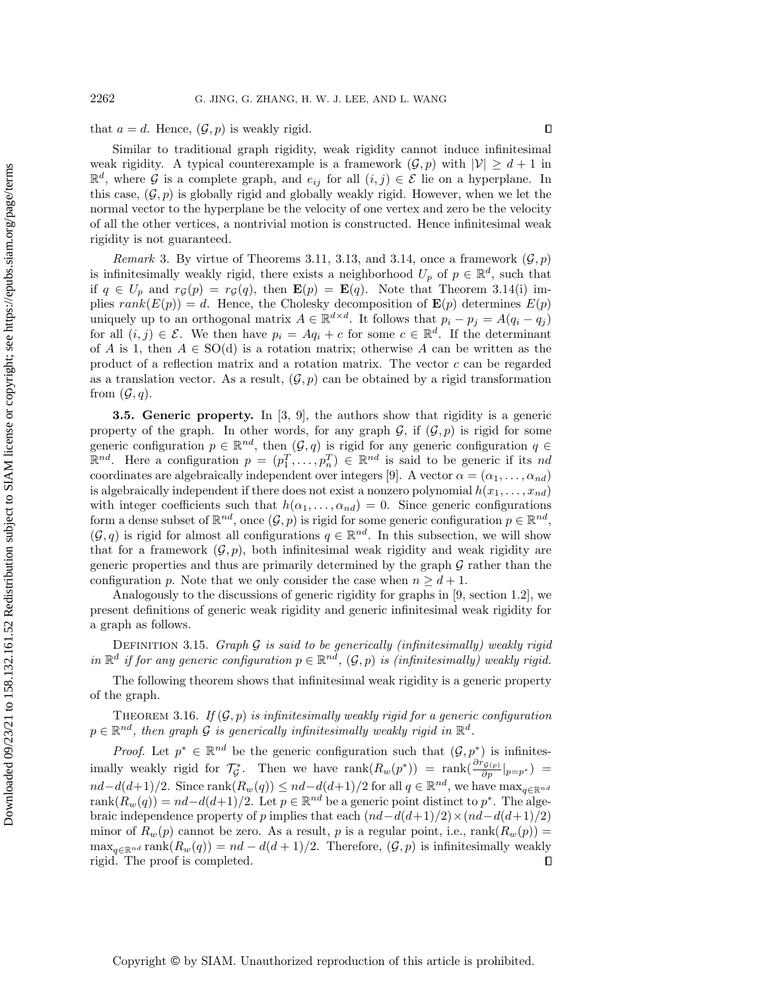that  $a = d$ . Hence,  $(\mathcal{G}, p)$  is weakly rigid.

Similar to traditional graph rigidity, weak rigidity cannot induce infinitesimal weak rigidity. A typical counterexample is a framework  $(\mathcal{G}, p)$  with  $| \mathcal{V} | \geq d + 1$  in  $\mathbb{R}^d$ , where  $\mathcal G$  is a complete graph, and  $e_{ij}$  for all  $(i, j) \in \mathcal E$  lie on a hyperplane. In this case,  $(\mathcal{G}, p)$  is globally rigid and globally weakly rigid. However, when we let the normal vector to the hyperplane be the velocity of one vertex and zero be the velocity of all the other vertices, a nontrivial motion is constructed. Hence infinitesimal weak rigidity is not guaranteed.

<span id="page-14-0"></span>Remark 3. By virtue of Theorems [3.11,](#page-12-1) [3.13,](#page-13-0) and [3.14,](#page-13-1) once a framework  $(\mathcal{G}, p)$ is infinitesimally weakly rigid, there exists a neighborhood  $U_p$  of  $p \in \mathbb{R}^d$ , such that if  $q \in U_p$  and  $r_\mathcal{G}(p) = r_\mathcal{G}(q)$ , then  $\mathbf{E}(p) = \mathbf{E}(q)$ . Note that Theorem [3.14\(](#page-13-1)i) implies  $rank(E(p)) = d$ . Hence, the Cholesky decomposition of  $\mathbf{E}(p)$  determines  $E(p)$ uniquely up to an orthogonal matrix  $A \in \mathbb{R}^{d \times d}$ . It follows that  $p_i - p_j = A(q_i - q_j)$ for all  $(i, j) \in \mathcal{E}$ . We then have  $p_i = Aq_i + c$  for some  $c \in \mathbb{R}^d$ . If the determinant of A is 1, then  $A \in SO(d)$  is a rotation matrix; otherwise A can be written as the product of a reflection matrix and a rotation matrix. The vector  $c$  can be regarded as a translation vector. As a result,  $(\mathcal{G}, p)$  can be obtained by a rigid transformation from  $(\mathcal{G}, q)$ .

<span id="page-14-1"></span>**3.5. Generic property.** In  $[3, 9]$  $[3, 9]$ , the authors show that rigidity is a generic property of the graph. In other words, for any graph  $\mathcal{G}$ , if  $(\mathcal{G}, p)$  is rigid for some generic configuration  $p \in \mathbb{R}^{nd}$ , then  $(\mathcal{G}, q)$  is rigid for any generic configuration  $q \in$  $\mathbb{R}^{nd}$ . Here a configuration  $p = (p_1^T, \ldots, p_n^T) \in \mathbb{R}^{nd}$  is said to be generic if its nd coordinates are algebraically independent over integers [\[9\]](#page-24-18). A vector  $\alpha = (\alpha_1, \ldots, \alpha_{nd})$ is algebraically independent if there does not exist a nonzero polynomial  $h(x_1, \ldots, x_{nd})$ with integer coefficients such that  $h(\alpha_1, \ldots, \alpha_{nd}) = 0$ . Since generic configurations form a dense subset of  $\mathbb{R}^{nd}$ , once  $(\mathcal{G}, p)$  is rigid for some generic configuration  $p \in \mathbb{R}^{nd}$ ,  $(\mathcal{G}, q)$  is rigid for almost all configurations  $q \in \mathbb{R}^{nd}$ . In this subsection, we will show that for a framework  $(\mathcal{G}, p)$ , both infinitesimal weak rigidity and weak rigidity are generic properties and thus are primarily determined by the graph  $\mathcal G$  rather than the configuration p. Note that we only consider the case when  $n \geq d + 1$ .

Analogously to the discussions of generic rigidity for graphs in [\[9,](#page-24-18) section 1.2], we present definitions of generic weak rigidity and generic infinitesimal weak rigidity for a graph as follows.

DEFINITION 3.15. Graph  $\mathcal G$  is said to be generically (infinitesimally) weakly rigid in  $\mathbb{R}^d$  if for any generic configuration  $p \in \mathbb{R}^{nd}$ ,  $(\mathcal{G}, p)$  is (infinitesimally) weakly rigid.

The following theorem shows that infinitesimal weak rigidity is a generic property of the graph.

<span id="page-14-2"></span>THEOREM 3.16. If  $(\mathcal{G}, p)$  is infinitesimally weakly rigid for a generic configuration  $p \in \mathbb R^{nd}$ , then graph  $\mathcal G$  is generically infinitesimally weakly rigid in  $\mathbb R^d$ .

*Proof.* Let  $p^* \in \mathbb{R}^{nd}$  be the generic configuration such that  $(\mathcal{G}, p^*)$  is infinitesimally weakly rigid for  $\mathcal{T}_{\mathcal{G}}^*$ . Then we have  $\text{rank}(R_w(p^*)) = \text{rank}(\frac{\partial r_{\mathcal{G}(p)}}{\partial p}|_{p=p^*}) =$  $nd - d(d+1)/2$ . Since  $\text{rank}(R_w(q)) \leq nd - d(d+1)/2$  for all  $q \in \mathbb{R}^{nd}$ , we have  $\max_{q \in \Bbb R^{nd}}$ rank $(R_w(q)) = nd - d(d+1)/2$ . Let  $p \in \mathbb{R}^{nd}$  be a generic point distinct to  $p^*$ . The algebraic independence property of p implies that each  $(nd - d(d+1)/2)\times (nd - d(d+1)/2)$ minor of  $R_w(p)$  cannot be zero. As a result, p is a regular point, i.e.,  $rank(R_w(p)) =$  $\max_{q \in \mathbb{R}^{nd}} \text{rank}(R_w(q)) = nd - d(d + 1)/2$ . Therefore,  $(\mathcal{G}, p)$  is infinitesimally weakly rigid. The proof is completed.  $\Box$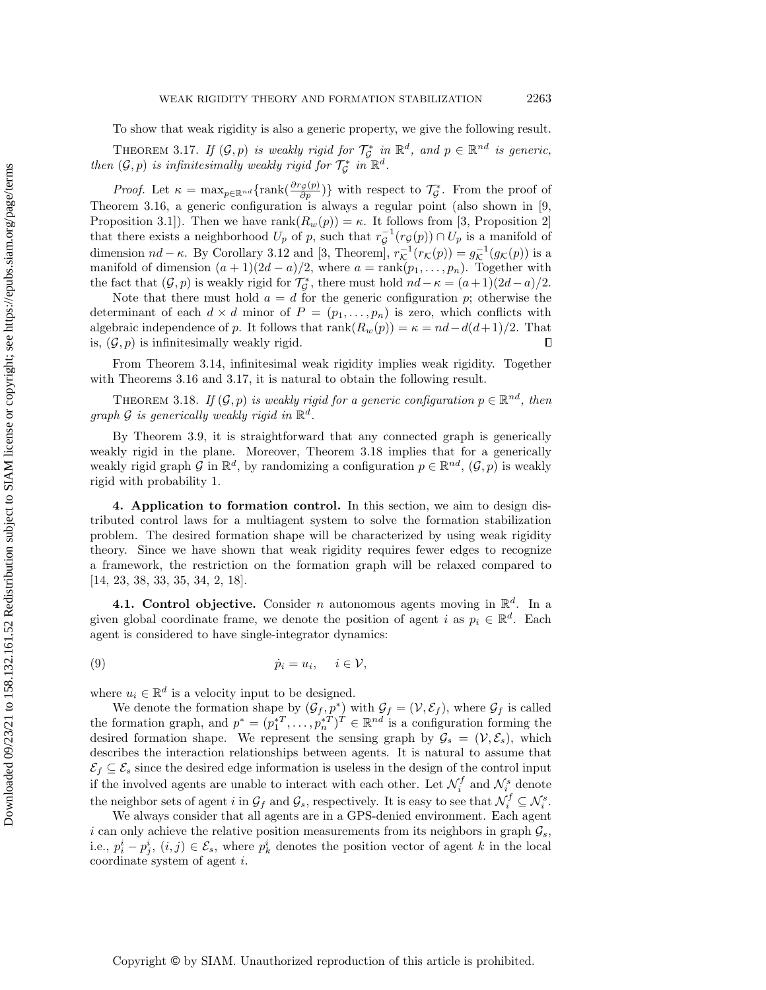To show that weak rigidity is also a generic property, we give the following result.

<span id="page-15-1"></span>THEOREM 3.17. If  $(\mathcal G, p)$  is weakly rigid for  $\mathcal T_{\mathcal G}^*$  in  $\mathbb R^d$ , and  $p \in \mathbb R^{nd}$  is generic, then  $(\mathcal G, p)$  is infinitesimally weakly rigid for  $\mathcal T_{\mathcal G}^*$  in  $\mathbb R^d$ .

*Proof.* Let  $\kappa = \max_{p \in \mathbb{R}^{nd}} \{ \text{rank}(\frac{\partial r_g(p)}{\partial p}) \}$  with respect to  $\mathcal{T}_g^*$ . From the proof of Theorem [3.16,](#page-14-2) a generic configuration is always a regular point (also shown in [\[9,](#page-24-18) Proposition 3.1]). Then we have rank $(R_w(p)) = \kappa$ . It follows from [\[3,](#page-23-3) Proposition 2] that there exists a neighborhood  $U_p$  of p, such that  $r^{-1}_g(r_g(p)) \cap U_p$  is a manifold of dimension  $nd - \kappa$ . By Corollary [3.12](#page-12-2) and [\[3,](#page-23-3) Theorem],  $r_{\mathcal{K}}^{-1}(r_{\mathcal{K}}(p)) = g_{\mathcal{K}}^{-1}(g_{\mathcal{K}}(p))$  is a manifold of dimension  $(a+1)(2d-a)/2$ , where  $a = \text{rank}(p_1, \ldots, p_n)$ . Together with the fact that  $(\mathcal{G}, p)$  is weakly rigid for  $\mathcal{T}_{\mathcal{G}}^*$ , there must hold  $nd - \kappa = (a + 1)(2d - a)/2$ .

Note that there must hold  $a = d$  for the generic configuration p; otherwise the determinant of each  $d \times d$  minor of  $P = (p_1, \ldots, p_n)$  is zero, which conflicts with algebraic independence of p. It follows that  $\text{rank}(R_w(p)) = \kappa = nd - d(d + 1)/2$ . That is,  $(\mathcal{G}, p)$  is infinitesimally weakly rigid.  $\Box$ 

From Theorem [3.14,](#page-13-1) infinitesimal weak rigidity implies weak rigidity. Together with Theorems [3.16](#page-14-2) and [3.17,](#page-15-1) it is natural to obtain the following result.

<span id="page-15-2"></span>THEOREM 3.18. If  $(\mathcal G, p)$  is weakly rigid for a generic configuration  $p \in \mathbb R^{nd}$ , then graph  $\mathcal G$  is generically weakly rigid in  $\mathbb R^d$ .

By Theorem [3.9,](#page-8-0) it is straightforward that any connected graph is generically weakly rigid in the plane. Moreover, Theorem [3.18](#page-15-2) implies that for a generically weakly rigid graph  $\mathcal G$  in  $\mathbb R^d$ , by randomizing a configuration  $p \in \mathbb R^{nd}$ ,  $(\mathcal G, p)$  is weakly rigid with probability 1.

<span id="page-15-0"></span>4. Application to formation control. In this section, we aim to design distributed control laws for a multiagent system to solve the formation stabilization problem. The desired formation shape will be characterized by using weak rigidity theory. Since we have shown that weak rigidity requires fewer edges to recognize a framework, the restriction on the formation graph will be relaxed compared to [\[14,](#page-24-8) [23,](#page-24-10) [38,](#page-25-5) [33,](#page-25-6) [35,](#page-25-7) [34,](#page-25-8) [2,](#page-23-4) [18\]](#page-24-19).

**4.1. Control objective.** Consider *n* autonomous agents moving in  $\mathbb{R}^d$ . In a given global coordinate frame, we denote the position of agent i as  $p_i \in \mathbb{R}^d$ . Each agent is considered to have single-integrator dynamics:

<span id="page-15-3"></span>(9) \.p<sup>i</sup> = u<sup>i</sup> , i \in \scrV ,

where  $u_i \in \mathbb{R}^d$  is a velocity input to be designed.

We denote the formation shape by  $(\mathcal{G}_f, p^*)$  with  $\mathcal{G}_f = (\mathcal{V}, \mathcal{E}_f)$ , where  $\mathcal{G}_f$  is called the formation graph, and  $p^* = (p_1^{*T}, \ldots, p_n^{*T})^T \in \mathbb{R}^{nd}$  is a configuration forming the desired formation shape. We represent the sensing graph by  $\mathcal{G}_s = (\mathcal{V}, \mathcal{E}_s)$ , which describes the interaction relationships between agents. It is natural to assume that  $\mathcal{E}_f \subseteq \mathcal{E}_s$  since the desired edge information is useless in the design of the control input if the involved agents are unable to interact with each other. Let  $\mathcal{N}_i^f$  and  $\mathcal{N}_i^s$  denote the neighbor sets of agent i in  $\mathcal{G}_f$  and  $\mathcal{G}_s$ , respectively. It is easy to see that  $\mathcal{N}_i^f \subseteq \mathcal{N}_i^s$ .

We always consider that all agents are in a GPS-denied environment. Each agent i can only achieve the relative position measurements from its neighbors in graph  $\mathcal{G}_s$ , i.e.,  $p_i^i - p_j^i$ ,  $(i, j) \in \mathcal{E}_s$ , where  $p_k^i$  denotes the position vector of agent k in the local coordinate system of agent i.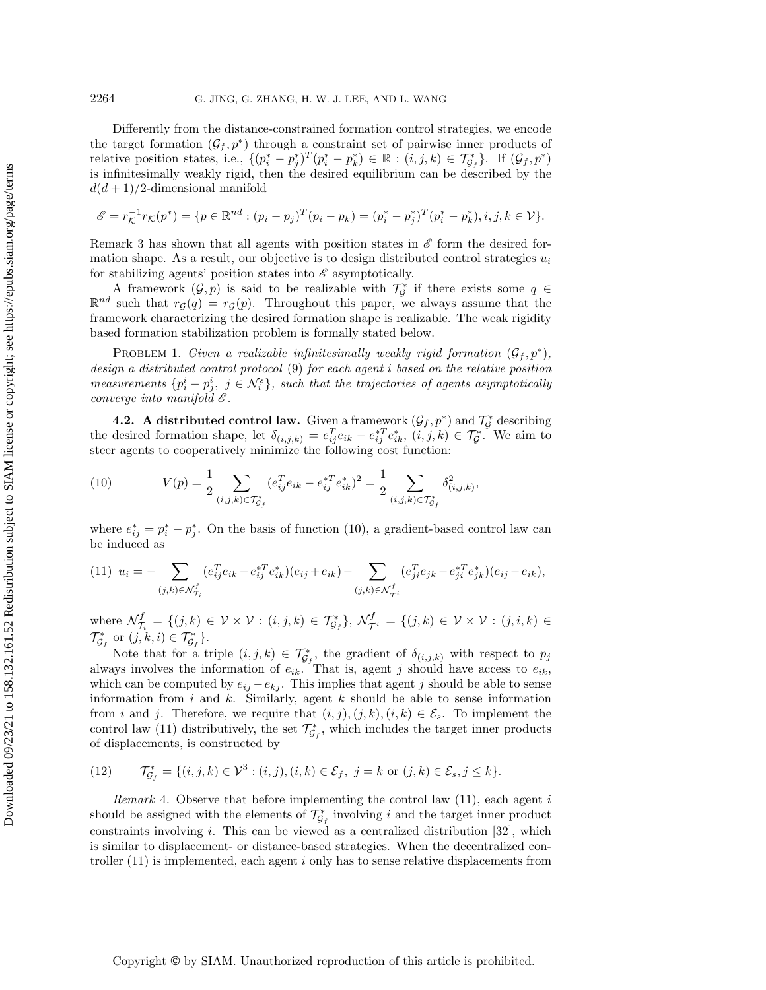Differently from the distance-constrained formation control strategies, we encode the target formation  $(\mathcal{G}_f, p^*)$  through a constraint set of pairwise inner products of relative position states, i.e.,  $\{ (p_i^* - p_j^*)^T (p_i^* - p_k^*) \in \mathbb{R} : (i, j, k) \in \mathcal{T}_{\mathcal{G}_f}^* \}$ . If  $(\mathcal{G}_f, p^*)$ is infinitesimally weakly rigid, then the desired equilibrium can be described by the  $d(d+1)/2$ -dimensional manifold

$$
\mathscr{E} = r_{\mathcal{K}}^{-1} r_{\mathcal{K}}(p^*) = \{ p \in \mathbb{R}^{nd} : (p_i - p_j)^T (p_i - p_k) = (p_i^* - p_j^*)^T (p_i^* - p_k^*), i, j, k \in \mathcal{V} \}.
$$

Remark [3](#page-14-0) has shown that all agents with position states in  $\mathscr E$  form the desired formation shape. As a result, our objective is to design distributed control strategies  $u_i$ for stabilizing agents' position states into  $\mathscr E$  asymptotically.

A framework  $(\mathcal G, p)$  is said to be realizable with  $\mathcal T_{\mathcal G}^*$  if there exists some  $q \in$  $\mathbb{R}^{nd}$  such that  $r_{\mathcal{G}}(q) = r_{\mathcal{G}}(p)$ . Throughout this paper, we always assume that the framework characterizing the desired formation shape is realizable. The weak rigidity based formation stabilization problem is formally stated below.

PROBLEM 1. Given a realizable infinitesimally weakly rigid formation  $(\mathcal{G}_f, p^*),$ design a distributed control protocol [\(9\)](#page-15-3) for each agent i based on the relative position measurements  $\{p_i^i - p_j^i, j \in \mathcal{N}_i^s\}$ , such that the trajectories of agents asymptotically converge into manifold  $\mathscr E$ .

**4.2.** A distributed control law. Given a framework  $(\mathcal{G}_f, p^*)$  and  $\mathcal{T}_{\mathcal{G}}^*$  describing the desired formation shape, let  $\delta_{(i,j,k)} = e_{ij}^T e_{ik} - e_{ij}^* T e_{ik}^*, (i,j,k) \in \mathcal{T}_{\mathcal{G}}^*$ . We aim to steer agents to cooperatively minimize the following cost function:

,

<span id="page-16-0"></span>(10) 
$$
V(p) = \frac{1}{2} \sum_{(i,j,k) \in \mathcal{T}_{G_f}^*} (e_{ij}^T e_{ik} - e_{ij}^* T e_{ik}^*)^2 = \frac{1}{2} \sum_{(i,j,k) \in \mathcal{T}_{G_f}^*} \delta_{(i,j,k)}^2
$$

where  $e_{ij}^* = p_i^* - p_j^*$ . On the basis of function [\(10\)](#page-16-0), a gradient-based control law can be induced as

<span id="page-16-1"></span>
$$
(11) \ \ u_i = -\sum_{(j,k)\in\mathcal{N}_{\mathcal{I}_i}^f} (e_{ij}^T e_{ik} - e_{ij}^{*T} e_{ik}^*) (e_{ij} + e_{ik}) - \sum_{(j,k)\in\mathcal{N}_{\mathcal{I}^i}^f} (e_{ji}^T e_{jk} - e_{ji}^{*T} e_{jk}^*) (e_{ij} - e_{ik}),
$$

where  $\mathcal{N}_{\mathcal{T}_i}^f = \{ (j, k) \in \mathcal{V} \times \mathcal{V} : (i, j, k) \in \mathcal{T}_{\mathcal{G}_f}^* \}, \ \mathcal{N}_{\mathcal{T}^i}^f = \{ (j, k) \in \mathcal{V} \times \mathcal{V} : (j, i, k) \in$  $\mathcal{T}_{\mathcal{G}_f}^*$  or  $(j, k, i) \in \mathcal{T}_{\mathcal{G}_f}^*$ .

Note that for a triple  $(i, j, k) \in \mathcal T_{\mathcal G_f}^*$ , the gradient of  $\delta_{(i,j,k)}$  with respect to  $p_j$ always involves the information of  $e_{ik}$ . That is, agent j should have access to  $e_{ik}$ , which can be computed by  $e_{ij} - e_{kj}$ . This implies that agent j should be able to sense information from  $i$  and  $k$ . Similarly, agent  $k$  should be able to sense information from i and j. Therefore, we require that  $(i, j), (j, k), (i, k) \in \mathcal{E}_s$ . To implement the control law [\(11\)](#page-16-1) distributively, the set  $\mathcal{T}_{\mathcal{G}_f}^*$ , which includes the target inner products of displacements, is constructed by

<span id="page-16-2"></span>(12) 
$$
\mathcal{T}_{\mathcal{G}_f}^* = \{ (i, j, k) \in \mathcal{V}^3 : (i, j), (i, k) \in \mathcal{E}_f, j = k \text{ or } (j, k) \in \mathcal{E}_s, j \leq k \}.
$$

*Remark* 4. Observe that before implementing the control law  $(11)$ , each agent i should be assigned with the elements of  $\mathcal{T}_{\mathcal{G}_f}^*$  involving i and the target inner product constraints involving  $i$ . This can be viewed as a centralized distribution [\[32\]](#page-25-4), which is similar to displacement- or distance-based strategies. When the decentralized controller  $(11)$  is implemented, each agent i only has to sense relative displacements from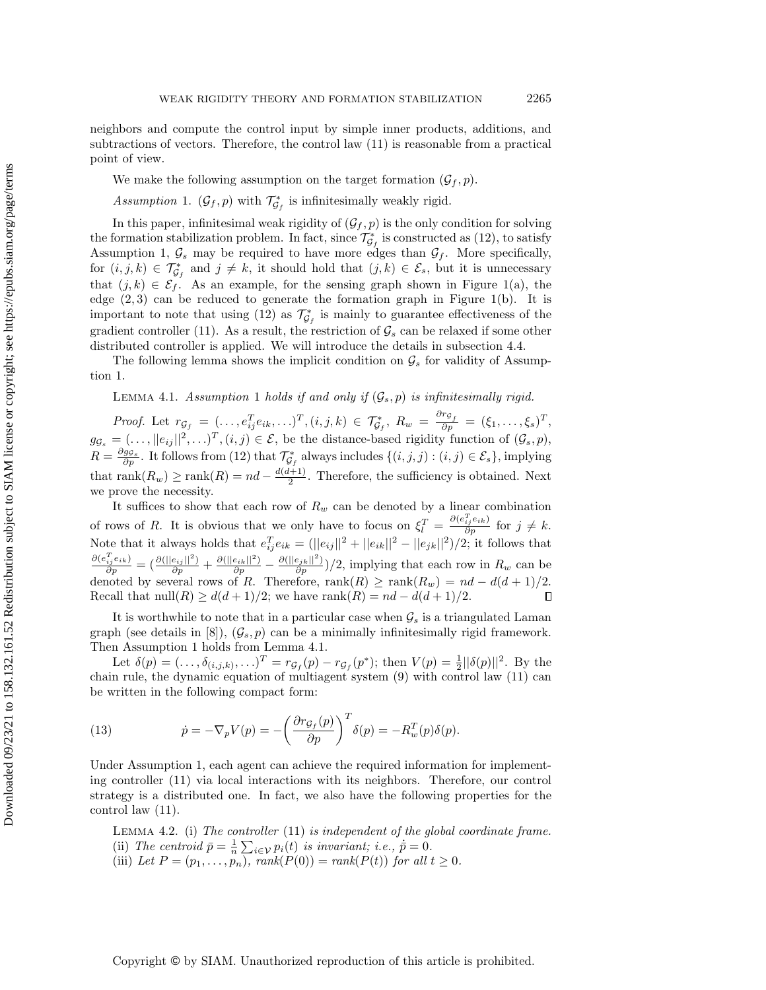neighbors and compute the control input by simple inner products, additions, and subtractions of vectors. Therefore, the control law [\(11\)](#page-16-1) is reasonable from a practical point of view. We make the following assumption on the target formation  $(\mathcal{G}_f, p)$ . Assumption 1.  $(\mathcal G_f, p)$  with  $\mathcal T_{\mathcal G_f}^*$  is infinitesimally weakly rigid.

<span id="page-17-0"></span>In this paper, infinitesimal weak rigidity of  $(\mathcal{G}_f, p)$  is the only condition for solving the formation stabilization problem. In fact, since  $\mathcal{T}_{\mathcal{G}_f}^*$  is constructed as [\(12\)](#page-16-2), to satisfy Assumption [1,](#page-17-0)  $\mathcal{G}_s$  may be required to have more edges than  $\mathcal{G}_f$ . More specifically, for  $(i, j, k) \in \mathcal{T}_{\mathcal{G}_f}^*$  and  $j \neq k$ , it should hold that  $(j, k) \in \mathcal{E}_s$ , but it is unnecessary that  $(j, k) \in \mathcal{E}_f$ . As an example, for the sensing graph shown in Figure [1\(](#page-4-0)a), the edge  $(2, 3)$  can be reduced to generate the formation graph in Figure [1\(](#page-4-0)b). It is important to note that using [\(12\)](#page-16-2) as  $\mathcal{T}_{\mathcal{G}_f}^*$  is mainly to guarantee effectiveness of the gradient controller [\(11\)](#page-16-1). As a result, the restriction of  $\mathcal{G}_s$  can be relaxed if some other distributed controller is applied. We will introduce the details in subsection [4.4.](#page-20-0)

The following lemma shows the implicit condition on  $\mathcal{G}_s$  for validity of Assumption [1.](#page-17-0)

<span id="page-17-1"></span>LEMMA 4.[1](#page-17-0). Assumption 1 holds if and only if  $(\mathcal{G}_s, p)$  is infinitesimally rigid.

Proof. Let  $r_{\mathcal{G}_f} = (\ldots, e_{ij}^T e_{ik}, \ldots)^T, (i, j, k) \in \mathcal{T}_{\mathcal{G}_f}^*, R_w = \frac{\partial r_{\mathcal{G}_f}}{\partial p} = (\xi_1, \ldots, \xi_s)^T$ ,  $g_{\mathcal{G}_s} = (\ldots, ||e_{ij}||^2, \ldots)^T, (i, j) \in \mathcal{E}$ , be the distance-based rigidity function of  $(\mathcal{G}_s, p)$ ,  $R = \frac{\partial g_{\mathcal{S}_s}}{\partial p}$ . It follows from [\(12\)](#page-16-2) that  $\mathcal{T}_{\mathcal{G}_f}^*$  always includes  $\{(i, j, j) : (i, j) \in \mathcal{E}_s\}$ , implying that rank $(R_w) \geq \text{rank}(R) = nd - \frac{d(d+1)}{2}$  $\frac{2^{(n+1)}}{2}$ . Therefore, the sufficiency is obtained. Next we prove the necessity.

It suffices to show that each row of  $R_w$  can be denoted by a linear combination of rows of R. It is obvious that we only have to focus on  $\xi_l^T = \frac{\partial (e_{ij}^T e_{ik})}{\partial p}$  for  $j \neq k$ . Note that it always holds that  $e_{ij}^T e_{ik} = (||e_{ij}||^2 + ||e_{ik}||^2 - ||e_{jk}||^2)/2$ ; it follows that  $\frac{\partial (e_{ij}^T e_{ik})}{\partial p} = \left(\frac{\partial (||e_{ij}||^2)}{\partial p} + \frac{\partial (||e_{ik}||^2)}{\partial p} - \frac{\partial (||e_{jk}||^2)}{\partial p}\right)/2$ , implying that each row in  $R_w$  can be denoted by several rows of R. Therefore,  $\text{rank}(R) \geq \text{rank}(R_w) = nd - d(d + 1)/2$ . Recall that  $null(R) \geq d(d + 1)/2$ ; we have  $rank(R) = nd - d(d + 1)/2$ .  $\Box$ 

It is worthwhile to note that in a particular case when  $\mathcal{G}_s$  is a triangulated Laman graph (see details in [\[8\]](#page-24-13)),  $(\mathcal{G}_s, p)$  can be a minimally infinitesimally rigid framework. Then Assumption [1](#page-17-0) holds from Lemma [4.1.](#page-17-1)

Let  $\delta(p) = (\ldots, \delta_{(i,j,k)}, \ldots)^T = r_{\mathcal{G}_f}(p) - r_{\mathcal{G}_f}(p^*);$  then  $V(p) = \frac{1}{2} ||\delta(p)||^2$ . By the chain rule, the dynamic equation of multiagent system [\(9\)](#page-15-3) with control law [\(11\)](#page-16-1) can be written in the following compact form:

<span id="page-17-2"></span>(13) 
$$
\dot{p} = -\nabla_p V(p) = -\left(\frac{\partial r_{\mathcal{G}_f}(p)}{\partial p}\right)^T \delta(p) = -R_w^T(p)\delta(p).
$$

Under Assumption [1,](#page-17-0) each agent can achieve the required information for implementing controller [\(11\)](#page-16-1) via local interactions with its neighbors. Therefore, our control strategy is a distributed one. In fact, we also have the following properties for the control law [\(11\)](#page-16-1).

<span id="page-17-3"></span>Lemma 4.2. (i) The controller [\(11\)](#page-16-1) is independent of the global coordinate frame. (ii) The centroid  $\bar{p} = \frac{1}{n} \sum_{i \in \mathcal{V}} p_i(t)$  is invariant; i.e.,  $\bar{p} = 0$ .

(iii) Let  $P = (p_1, \ldots, p_n)$ , rank $(P(0)) = rank(P(t))$  for all  $t \geq 0$ .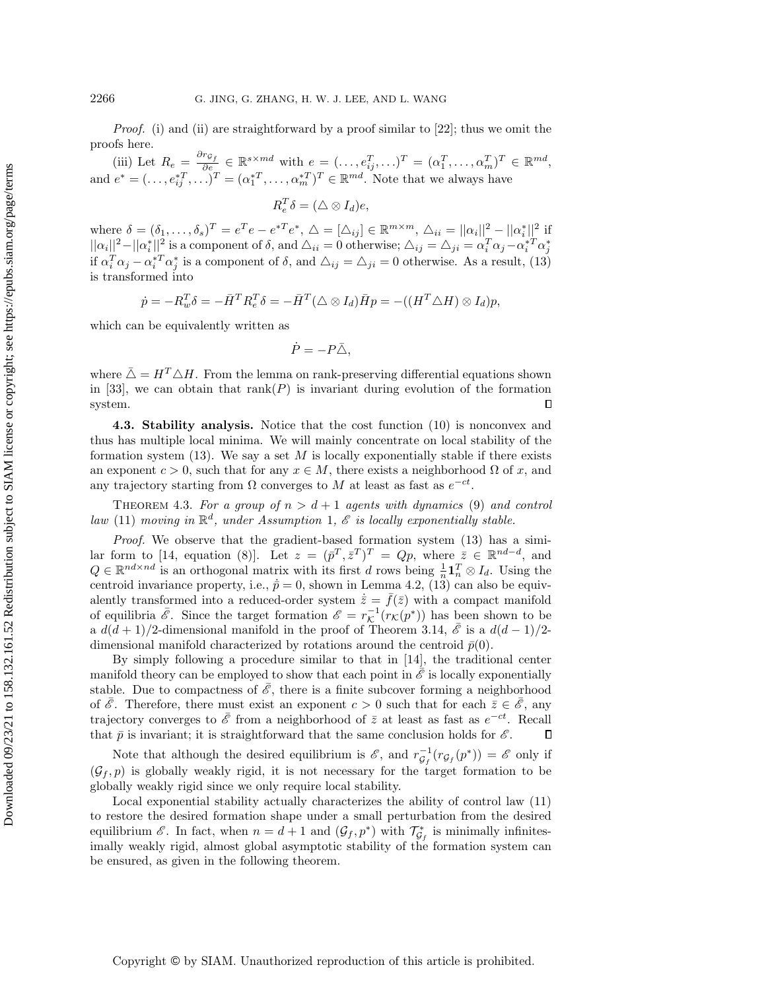Proof. (i) and (ii) are straightforward by a proof similar to [\[22\]](#page-24-9); thus we omit the proofs here.

(iii) Let  $R_e = \frac{\partial r_{\mathcal{G}_f}}{\partial e} \in \mathbb{R}^{s \times md}$  with  $e = (\ldots, e_{ij}^T, \ldots)^T = (\alpha_1^T, \ldots, \alpha_m^T)^T \in \mathbb{R}^{md}$ , and  $e^* = (\ldots, e_{ij}^{*T}, \ldots)^T = (\alpha_1^{*T}, \ldots, \alpha_m^{*T})^T \in \mathbb{R}^{md}$ . Note that we always have

 $R_e^T \delta = (\triangle \otimes I_d)e,$ 

where  $\delta = (\delta_1, \ldots, \delta_s)^T = e^T e - e^{*T} e^*$ ,  $\Delta = [\Delta_{ij}] \in \mathbb{R}^{m \times m}$ ,  $\Delta_{ii} = ||\alpha_i||^2 - ||\alpha_i^*||^2$  if  $||\alpha_i||^2 - ||\alpha_i^*||^2$  is a component of  $\delta$ , and  $\Delta_{ii} = 0$  otherwise;  $\Delta_{ij} = \Delta_{ji} = \alpha_i^T \alpha_j - \alpha_i^{*T} \alpha_j^*$ if  $\alpha_i^T \alpha_j - \alpha_i^{*T} \alpha_j^{*}$  is a component of  $\delta$ , and  $\Delta_{ij} = \Delta_{ji} = 0$  otherwise. As a result, [\(13\)](#page-17-2) is transformed into

$$
\dot{p} = -R_w^T \delta = -\bar{H}^T R_e^T \delta = -\bar{H}^T (\triangle \otimes I_d) \bar{H} p = -((H^T \triangle H) \otimes I_d) p,
$$

which can be equivalently written as

$$
\dot{P} = -P\bar{\triangle},
$$

where  $\bar{\Delta} = H^T \Delta H$ . From the lemma on rank-preserving differential equations shown in [\[33\]](#page-25-6), we can obtain that rank( $P$ ) is invariant during evolution of the formation system.  $\Box$ 

4.3. Stability analysis. Notice that the cost function [\(10\)](#page-16-0) is nonconvex and thus has multiple local minima. We will mainly concentrate on local stability of the formation system  $(13)$ . We say a set M is locally exponentially stable if there exists an exponent  $c > 0$ , such that for any  $x \in M$ , there exists a neighborhood  $\Omega$  of x, and any trajectory starting from  $\Omega$  converges to M at least as fast as  $e^{-ct}$ .

<span id="page-18-1"></span>THEOREM 4.3. For a group of  $n > d+1$  agents with dynamics [\(9\)](#page-15-3) and control law [\(11\)](#page-16-1) moving in  $\mathbb{R}^d$ , under Assumption [1](#page-17-0),  $\mathscr E$  is locally exponentially stable.

Proof. We observe that the gradient-based formation system [\(13\)](#page-17-2) has a simi-lar form to [\[14,](#page-24-8) equation (8)]. Let  $z = (\bar{p}^T, \bar{z}^T)^T = Qp$ , where  $\bar{z} \in \mathbb{R}^{nd-d}$ , and  $Q \in \mathbb{R}^{nd \times nd}$  is an orthogonal matrix with its first d rows being  $\frac{1}{n} \mathbf{1}_n^T \otimes I_d$ . Using the centroid invariance property, i.e.,  $\dot{\bar{p}} = 0$ , shown in Lemma [4.2,](#page-17-3) [\(13\)](#page-17-2) can also be equivalently transformed into a reduced-order system  $\dot{\bar{z}}=\bar{f}(\bar{z})$  with a compact manifold of equilibria  $\bar{\mathscr{E}}$ . Since the target formation  $\mathscr{E} = r_{\mathcal{K}}^{-1}(r_{\mathcal{K}} (p^*))$  has been shown to be a  $d(d+1)/2$ -dimensional manifold in the proof of Theorem [3.14,](#page-13-1)  $\bar{\mathscr{E}}$  is a  $d(d-1)/2$ dimensional manifold characterized by rotations around the centroid  $\bar{p}(0)$ .

By simply following a procedure similar to that in [\[14\]](#page-24-8), the traditional center manifold theory can be employed to show that each point in  $\mathscr E$  is locally exponentially stable. Due to compactness of  $\mathscr{E}$ , there is a finite subcover forming a neighborhood of  $\bar{\mathscr{E}}$ . Therefore, there must exist an exponent  $c > 0$  such that for each  $\bar{z} \in \bar{\mathscr{E}}$ , any trajectory converges to  $\bar{\mathscr{E}}$  from a neighborhood of  $\bar{z}$  at least as fast as  $e^{-ct}$ . Recall that  $\bar{p}$  is invariant; it is straightforward that the same conclusion holds for  $\mathscr{E}$ .  $\Box$ 

Note that although the desired equilibrium is  $\mathscr{E}$ , and  $r_{\mathcal{G}_f}^{-1}(r_{\mathcal{G}_f}(p^*)) = \mathscr{E}$  only if  $(\mathcal{G}_f, p)$  is globally weakly rigid, it is not necessary for the target formation to be globally weakly rigid since we only require local stability.

<span id="page-18-0"></span>Local exponential stability actually characterizes the ability of control law [\(11\)](#page-16-1) to restore the desired formation shape under a small perturbation from the desired equilibrium  $\mathscr{E}$ . In fact, when  $n = d + 1$  and  $(\mathcal{G}_f, p^*)$  with  $\mathcal{T}_{\mathcal{G}_f}^*$  is minimally infinitesimally weakly rigid, almost global asymptotic stability of the formation system can be ensured, as given in the following theorem.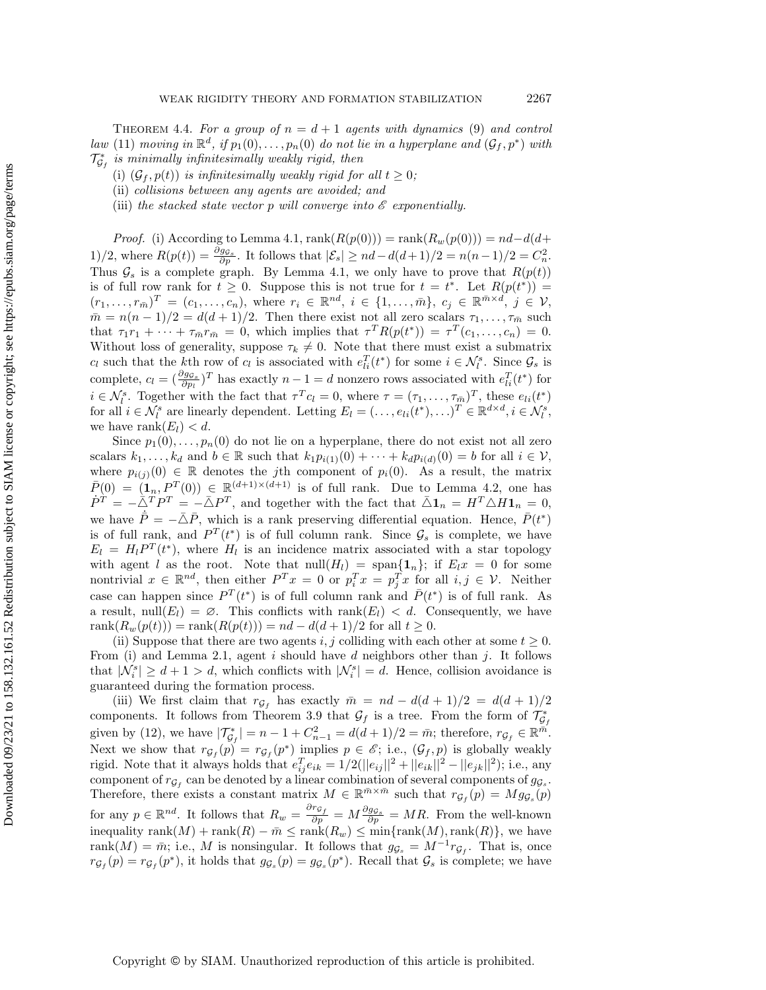THEOREM 4.4. For a group of  $n = d + 1$  agents with dynamics [\(9\)](#page-15-3) and control law [\(11\)](#page-16-1) moving in  $\mathbb{R}^d$ , if  $p_1(0), \ldots, p_n(0)$  do not lie in a hyperplane and  $(\mathcal{G}_f, p^*)$  with  $\mathcal{T}_{\mathcal{G}_f}^*$  is minimally infinitesimally weakly rigid, then

(i)  $(\mathcal{G}_f, p(t))$  is infinitesimally weakly rigid for all  $t \geq 0$ ;

(ii) collisions between any agents are avoided; and

(iii) the stacked state vector p will converge into  $\mathscr E$  exponentially.

*Proof.* (i) According to Lemma [4.1,](#page-17-1)  $\text{rank}(R(p(0))) = \text{rank}(R_w(p(0))) = nd - d(d +$ 1)/2, where  $R(p(t)) = \frac{\partial g_{\mathcal{G}_s}}{\partial p}$ . It follows that  $|\mathcal{E}_s| \geq nd - d(d+1)/2 = n(n-1)/2 = C_n^2$ . Thus  $\mathcal{G}_s$  is a complete graph. By Lemma [4.1,](#page-17-1) we only have to prove that  $R(p(t))$ is of full row rank for  $t \geq 0$ . Suppose this is not true for  $t = t^*$ . Let  $R(p(t^*))$  $(r_1, \ldots, r_{\bar{m}})^T = (c_1, \ldots, c_n),$  where  $r_i \in \mathbb{R}^{nd}$ ,  $i \in \{1, \ldots, \bar{m}\},$   $c_j \in \mathbb{R}^{\bar{m} \times \bar{d}}$ ,  $j \in \mathcal{V}$ ,  $m\bar m = n(n - 1)/2 = d(d + 1)/2$ . Then there exist not all zero scalars  $\tau_1, \ldots, \tau_{\bar m}$  such that  $\tau_1 r_1 + \cdots + \tau_m r_{\bar{m}} = 0$ , which implies that  $\tau^T R(p(t^*)) = \tau^T(c_1, \ldots, c_n) = 0$ . Without loss of generality, suppose  $\tau_k \neq 0$ . Note that there must exist a submatrix  $c_l$  such that the k<sup>th</sup> row of  $c_l$  is associated with  $e_{li}^T(t^*)$  for some  $i \in \mathcal{N}_l^s$ . Since  $\mathcal{G}_s$  is complete,  $c_l = (\frac{\partial g_{g_s}}{\partial p_l})^T$  has exactly  $n - 1 = d$  nonzero rows associated with  $e_{li}^T(t^*)$  for  $i \in \mathcal{N}_l^s$ . Together with the fact that  $\tau^T c_l = 0$ , where  $\tau = (\tau_1, \ldots, \tau_{\overline{m}})^T$ , these  $e_{li}(t^*)$ for all  $i \in \mathcal{N}_l^s$  are linearly dependent. Letting  $E_l = (\ldots, e_{li}(t^*), \ldots)^T \in \mathbb{R}^{d \times d}, i \in \mathcal{N}_l^s$ , we have rank $(E_l) < d$ .

Since  $p_1(0), \ldots, p_n(0)$  do not lie on a hyperplane, there do not exist not all zero scalars  $k_1, \ldots, k_d$  and  $b \in \mathbb{R}$  such that  $k_1p_{i(1)}(0) + \cdots + k_d p_{i(d)}(0) = b$  for all  $i \in \mathcal{V}$ , where  $p_{i(j)}(0) \in \mathbb{R}$  denotes the jth component of  $p_i(0)$ . As a result, the matrix  $\bar{P}(0) = (1_n, P^T(0)) \in \mathbb{R}^{(d+1)\times (d+1)}$  is of full rank. Due to Lemma [4.2,](#page-17-3) one has  $\dot{P}^T = - \bar{\triangle}^T P^T = - \bar{\triangle} P^T$ , and together with the fact that  $\bar{\triangle} \mathbf{1}_n = H^T \triangle H \mathbf{1}_n = 0$ , we have  $\dot{\bar{P}} = - \bar{\triangle} \bar{P}$ , which is a rank preserving differential equation. Hence,  $\bar{P}(t^*)$ is of full rank, and  $P^T(t^*)$  is of full column rank. Since  $\mathcal{G}_s$  is complete, we have  $E_l = H_l P^T(t^*)$ , where  $H_l$  is an incidence matrix associated with a star topology with agent l as the root. Note that  $null(H_l) = \text{span}\{ 1_n\}$ ; if  $E_l x = 0$  for some nontrivial  $x \in \mathbb{R}^{nd}$ , then either  $P^T x = 0$  or  $p_i^T x = p_j^T x$  for all  $i, j \in \mathcal{V}$ . Neither case can happen since  $P^T(t^*)$  is of full column rank and  $\bar{P}(t^*)$  is of full rank. As a result,  $null(E_l) = \emptyset$ . This conflicts with rank $(E_l) < d$ . Consequently, we have rank $(R_w(p(t))) = \text{rank}(R(p(t))) = nd - d(d+1)/2$  for all  $t \geq 0$ .

(ii) Suppose that there are two agents i, j colliding with each other at some  $t \geq 0$ . From (i) and Lemma [2.1,](#page-4-2) agent i should have d neighbors other than j. It follows that  $|\mathcal{N}_i^s| \geq d + 1 > d$ , which conflicts with  $|\mathcal{N}_i^s| = d$ . Hence, collision avoidance is guaranteed during the formation process.

(iii) We first claim that  $r_{\mathcal{G}_f}$  has exactly  $\bar{m} = nd - d(d + 1)/2 = d(d + 1)/2$ components. It follows from Theorem [3.9](#page-8-0) that  $\mathcal{G}_f$  is a tree. From the form of  $\mathcal{T}_{\mathcal{G}_f}^*$ given by [\(12\)](#page-16-2), we have  $|\mathcal{T}_{\mathcal{G}_f}^*| = n - 1 + C_{n-1}^2 = d(d+1)/2 = \bar{m}$ ; therefore,  $r_{\mathcal{G}_f} \in \mathbb{R}^{\bar{m}}$ . Next we show that  $r_{\mathcal{G}_f}(p) = r_{\mathcal{G}_f}(p^*)$  implies  $p \in \mathscr{E}$ ; i.e.,  $(\mathcal{G}_f, p)$  is globally weakly rigid. Note that it always holds that  $e_{ij}^T e_{ik} = 1/2(||e_{ij}||^2 + ||e_{ik}||^2 - ||e_{jk}||^2)$ ; i.e., any component of  $r_{\mathcal{G}_f}$  can be denoted by a linear combination of several components of  $g_{\mathcal{G}_s}$ . Therefore, there exists a constant matrix  $M \in \mathbb{R}^{\bar m \times \bar m}$  such that  $r_{\mathcal{G}_f}(p) = M g_{\mathcal{G}_s}(p)$ for any  $p \in \mathbb{R}^{nd}$ . It follows that  $R_w = \frac{\partial r_{\mathcal{G}_f}}{\partial p} = M \frac{\partial g_{\mathcal{G}_s}}{\partial p} = MR$ . From the well-known inequality rank $(M)$  + rank $(R)$  –  $\bar{m} \leq \text{rank}(R_w) \leq \min\{ \text{rank}(M),\text{rank}(R)\}$ , we have rank $(M) = \bar{m}$ ; i.e., M is nonsingular. It follows that  $g_{\mathcal{G}_s} = M^{-1} r_{\mathcal{G}_f}$ . That is, once  $r_{\mathcal{G}_f}(p) = r_{\mathcal{G}_f}(p^*)$ , it holds that  $g_{\mathcal{G}_s}(p) = g_{\mathcal{G}_s}(p^*)$ . Recall that  $\mathcal{G}_s$  is complete; we have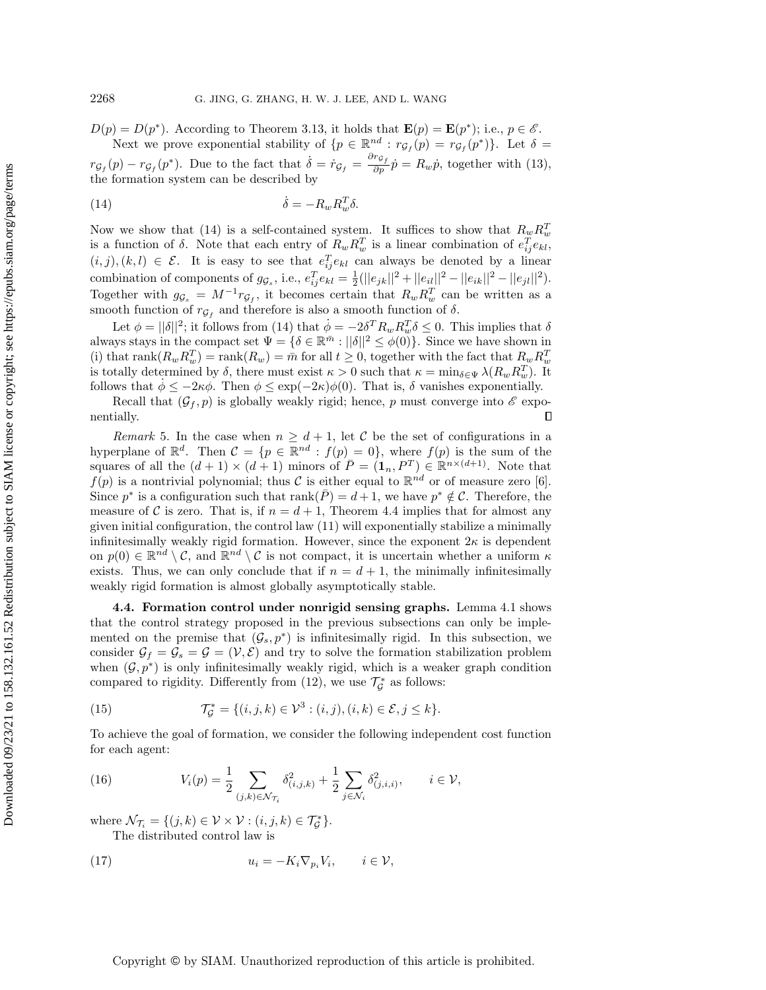$D(p) = D(p^*)$ . According to Theorem [3.13,](#page-13-0) it holds that  $\mathbf{E}(p) = \mathbf{E}(p^*)$ ; i.e.,  $p \in \mathscr{E}$ . Next we prove exponential stability of  $\{ p \in \mathbb{R}^{nd} : r_{\mathcal{G}_f}(p) = r_{\mathcal{G}_f}(p^*) \}$ . Let  $\delta =$ 

 $r_{\mathcal{G}_f}(p) - r_{\mathcal{G}_f}(p^*)$ . Due to the fact that  $\dot{\delta} = \dot{r}_{\mathcal{G}_f} = \frac{\partial r_{\mathcal{G}_f}}{\partial p}\dot{p} = R_w\dot{p}$ , together with [\(13\)](#page-17-2), the formation system can be described by

<span id="page-20-1"></span>(14) 
$$
\dot{\delta} = -R_w R_w^T \delta.
$$

Now we show that [\(14\)](#page-20-1) is a self-contained system. It suffices to show that  $R_w R_w^T$ is a function of  $\delta$ . Note that each entry of  $R_w R_w^T$  is a linear combination of  $e_{ij}^T e_{kl}$ ,  $(i, j), (k, l) \in \mathcal{E}$ . It is easy to see that  $e_{ij}^T e_{kl}$  can always be denoted by a linear combination of components of  $g_{\mathcal{G}_s}$ , i.e.,  $e_{ij}^T e_{kl} = \frac{1}{2} (||e_{jk}||^2 + ||e_{il}||^2 - ||e_{ik}||^2 - ||e_{jl}||^2)$ . Together with  $g_{\mathcal{G}_s} = M^{-1} r_{\mathcal{G}_f}$ , it becomes certain that  $R_w R_w^T$  can be written as a smooth function of  $r_{\mathcal{G}_f}$  and therefore is also a smooth function of  $\delta$ .

Let  $\phi = ||\delta||^2$ ; it follows from [\(14\)](#page-20-1) that  $\dot{\phi} = -2\delta^T R_w R_w^T \delta \leq 0$ . This implies that  $\delta$ always stays in the compact set  $\Psi = \{ \delta \in \mathbb{R}^{\bar m} : ||\delta||^2 \leq \phi(0)\}$ . Since we have shown in (i) that  $\text{rank}(R_w R_w^T) = \text{rank}(R_w) = \bar{m}$  for all  $t \geq 0$ , together with the fact that  $R_w R_w^T$ is totally determined by  $\delta$ , there must exist  $\kappa > 0$  such that  $\kappa = \min_{\delta \in \Psi} \lambda (R_wR_w^T)$ . It follows that  $\phi \leq - 2\kappa \phi$ . Then  $\phi \leq \exp(- 2\kappa) \phi (0)$ . That is,  $\delta$  vanishes exponentially.

Recall that  $(\mathcal{G}_f , p)$  is globally weakly rigid; hence, p must converge into  $\mathscr{E}$  exponentially.  $\Box$ 

Remark 5. In the case when  $n \geq d + 1$ , let C be the set of configurations in a hyperplane of  $\mathbb{R}^d$ . Then  $\mathcal{C} = \{ p \in \mathbb{R}^{nd} : f(p) = 0 \}$ , where  $f(p)$  is the sum of the squares of all the  $(d + 1) \times (d + 1)$  minors of  $\overline{P} = (1_n, P^T) \in \mathbb{R}^{n \times (d+1)}$ . Note that  $f(p)$  is a nontrivial polynomial; thus C is either equal to  $\mathbb{R}^{nd}$  or of measure zero [\[6\]](#page-23-5). Since  $p^*$  is a configuration such that rank( $\overline{P}$ ) = d + 1, we have  $p^* \notin \mathcal{C}$ . Therefore, the measure of C is zero. That is, if  $n = d + 1$ , Theorem [4.4](#page-18-0) implies that for almost any given initial configuration, the control law [\(11\)](#page-16-1) will exponentially stabilize a minimally infinitesimally weakly rigid formation. However, since the exponent  $2\kappa$  is dependent on  $p(0) \in \mathbb{R}^{nd} \setminus \mathcal{C}$ , and  $\mathbb{R}^{nd} \setminus \mathcal{C}$  is not compact, it is uncertain whether a uniform  $\kappa$ exists. Thus, we can only conclude that if  $n = d + 1$ , the minimally infinitesimally weakly rigid formation is almost globally asymptotically stable.

<span id="page-20-0"></span>4.4. Formation control under nonrigid sensing graphs. Lemma [4.1](#page-17-1) shows that the control strategy proposed in the previous subsections can only be implemented on the premise that  $(\mathcal{G}_s, p^*)$  is infinitesimally rigid. In this subsection, we consider  $\mathcal{G}_f = \mathcal{G}_s = \mathcal{G} = (\mathcal{V}, \mathcal{E})$  and try to solve the formation stabilization problem when  $(\mathcal{G}, p^*)$  is only infinitesimally weakly rigid, which is a weaker graph condition compared to rigidity. Differently from [\(12\)](#page-16-2), we use  $\mathcal{T}_{\mathcal{G}}^*$  as follows:

(15) 
$$
\mathcal{T}_{\mathcal{G}}^* = \{ (i, j, k) \in \mathcal{V}^3 : (i, j), (i, k) \in \mathcal{E}, j \leq k \}.
$$

To achieve the goal of formation, we consider the following independent cost function for each agent:

<span id="page-20-3"></span>(16) 
$$
V_i(p) = \frac{1}{2} \sum_{(j,k) \in \mathcal{N}_{\mathcal{T}_i}} \delta^2_{(i,j,k)} + \frac{1}{2} \sum_{j \in \mathcal{N}_i} \delta^2_{(j,i,i)}, \qquad i \in \mathcal{V},
$$

where  $\mathcal{N}_{\mathcal{T}_i} = \{ (j, k) \in \mathcal{V} \times \mathcal{V} : (i, j, k) \in \mathcal{T}_{\mathcal{G}}^* \}.$ 

<span id="page-20-2"></span>The distributed control law is

(17) 
$$
u_i = -K_i \nabla_{p_i} V_i, \qquad i \in \mathcal{V},
$$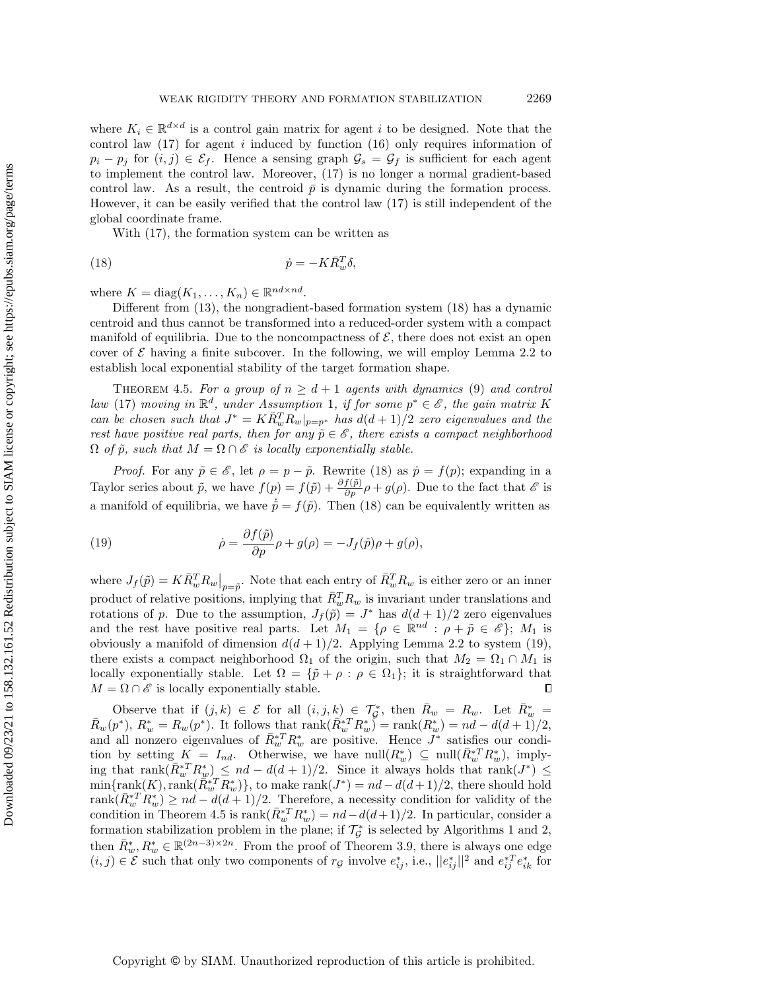where  $K_i \in \mathbb{R}^{d \times d}$  is a control gain matrix for agent i to be designed. Note that the control law  $(17)$  for agent i induced by function  $(16)$  only requires information of  $p_i - p_j$  for  $(i, j) \in \mathcal{E}_f$ . Hence a sensing graph  $\mathcal{G}_s = \mathcal{G}_f$  is sufficient for each agent to implement the control law. Moreover, [\(17\)](#page-20-2) is no longer a normal gradient-based control law. As a result, the centroid  $\bar{p}$  is dynamic during the formation process. However, it can be easily verified that the control law [\(17\)](#page-20-2) is still independent of the global coordinate frame.

<span id="page-21-0"></span>With [\(17\)](#page-20-2), the formation system can be written as

$$
(18)\qquad \qquad \dot{p} = -K\bar{R}_w^T\delta,
$$

where  $K = \text{diag}(K_1, \ldots, K_n) \in \mathbb{R}^{nd \times nd}$ .

Different from [\(13\)](#page-17-2), the nongradient-based formation system [\(18\)](#page-21-0) has a dynamic centroid and thus cannot be transformed into a reduced-order system with a compact manifold of equilibria. Due to the noncompactness of  $\mathcal{E}$ , there does not exist an open cover of  $\mathcal E$  having a finite subcover. In the following, we will employ Lemma [2.2](#page-4-3) to establish local exponential stability of the target formation shape.

<span id="page-21-2"></span>THEOREM 4.5. For a group of  $n \geq d + 1$  agents with dynamics [\(9\)](#page-15-3) and control law [\(17\)](#page-20-2) moving in  $\mathbb{R}^d$ , under Assumption [1](#page-17-0), if for some  $p^* \in \mathscr{E}$ , the gain matrix K can be chosen such that  $J^* = K\overline{R}_w^T R_w|_{p=p^*}$  has  $d(d+1)/2$  zero eigenvalues and the rest have positive real parts, then for any  $\tilde{p} \in \mathscr{E}$ , there exists a compact neighborhood  $\Omega$  of  $\tilde{p}$ , such that  $M = \Omega \cap \mathscr E$  is locally exponentially stable.

*Proof.* For any  $\tilde{p} \in \mathscr{E}$ , let  $\rho = p - \tilde{p}$ . Rewrite [\(18\)](#page-21-0) as  $\dot{p} = f(p)$ ; expanding in a Taylor series about  $\tilde{p}$ , we have  $f(p) = f(\tilde{p}) + \frac{\partial f(\tilde{p})}{\partial p} \rho + g(\rho)$ . Due to the fact that  $\mathscr{E}$  is a manifold of equilibria, we have  $\dot{\tilde{p}} = f(\tilde{p})$ . Then [\(18\)](#page-21-0) can be equivalently written as

<span id="page-21-1"></span>(19) 
$$
\dot{\rho} = \frac{\partial f(\tilde{p})}{\partial p} \rho + g(\rho) = -J_f(\tilde{p})\rho + g(\rho),
$$

where  $J_f(\tilde{p}) = K\bar{R}_w^T R_w\big|_{p=\tilde{p}}$ . Note that each entry of  $\bar{R}_w^T R_w$  is either zero or an inner product of relative positions, implying that  $\bar{R}_w^T R_w$  is invariant under translations and rotations of p. Due to the assumption,  $J_f(\tilde{p}) = J^*$  has  $d(d + 1)/2$  zero eigenvalues and the rest have positive real parts. Let  $M_1 = \{ \rho \in \mathbb{R}^{nd} : \rho + \tilde{p} \in \mathscr{E} \}; M_1$  is obviously a manifold of dimension  $d(d+1)/2$ . Applying Lemma [2.2](#page-4-3) to system [\(19\)](#page-21-1), there exists a compact neighborhood  $\Omega_1$  of the origin, such that  $M_2 = \Omega_1 \cap M_1$  is locally exponentially stable. Let  $\Omega = \{ \tilde{p} + \rho : \rho \in \Omega_1\} ;$  it is straightforward that  $M = \Omega \cap \mathscr{E}$  is locally exponentially stable.  $\Box$ 

Observe that if  $(j, k) \in \mathcal{E}$  for all  $(i, j, k) \in \mathcal{T}_{\mathcal{G}}^*$ , then  $\bar{R}_w = R_w$ . Let  $\bar{R}_w^* =$  $\bar{R}_w(p^*), R_w^* = R_w(p^*)$ . It follows that  $\text{rank}(\bar{R}_w^{*T} R_w^*) = \text{rank}(R_w^*) = nd - d(d+1)/2$ , and all nonzero eigenvalues of  $\bar{R}_{w}^{*T} R_{w}^{*}$  are positive. Hence  $J^{*}$  satisfies our condition by setting  $K = I_{nd}$ . Otherwise, we have  $null(R_w^*) \subseteq null(\bar{R}_w^{*T} R_w^*)$ , implying that rank $(\bar{R}_{w}^{*T} R_{w}^{*}) \leq nd - d(d + 1)/2$ . Since it always holds that rank $(J^*) \leq$  $\min\{\text{rank}(K),\text{rank}(\overline{R}\cdot\{x}^*R_w^*)\},\$  to make  $\text{rank}(J^*) = nd - d(d+1)/2$ , there should hold rank $(R_w^* T R_w^*) \geq nd - d(d + 1)/2$ . Therefore, a necessity condition for validity of the condition in Theorem [4.5](#page-21-2) is  $\text{rank}(\bar{R}_{w}^{*T} R_{w}^{*}) = nd - d(d+1)/2$ . In particular, consider a formation stabilization problem in the plane; if  $\mathcal{T}_{\mathcal{G}}^*$  is selected by Algorithms [1](#page-11-1) and [2,](#page-11-2) then  $\bar{R}_w^*, R_w^* \in \mathbb{R}^{(2n-3)\times 2n}$ . From the proof of Theorem [3.9,](#page-8-0) there is always one edge  $(i, j) \in \mathcal{E}$  such that only two components of  $r_{\mathcal{G}}$  involve  $e_{ij}^*$ , i.e.,  $||e_{ij}^*||^2$  and  $e_{ij}^{*T}e_{ik}^*$  for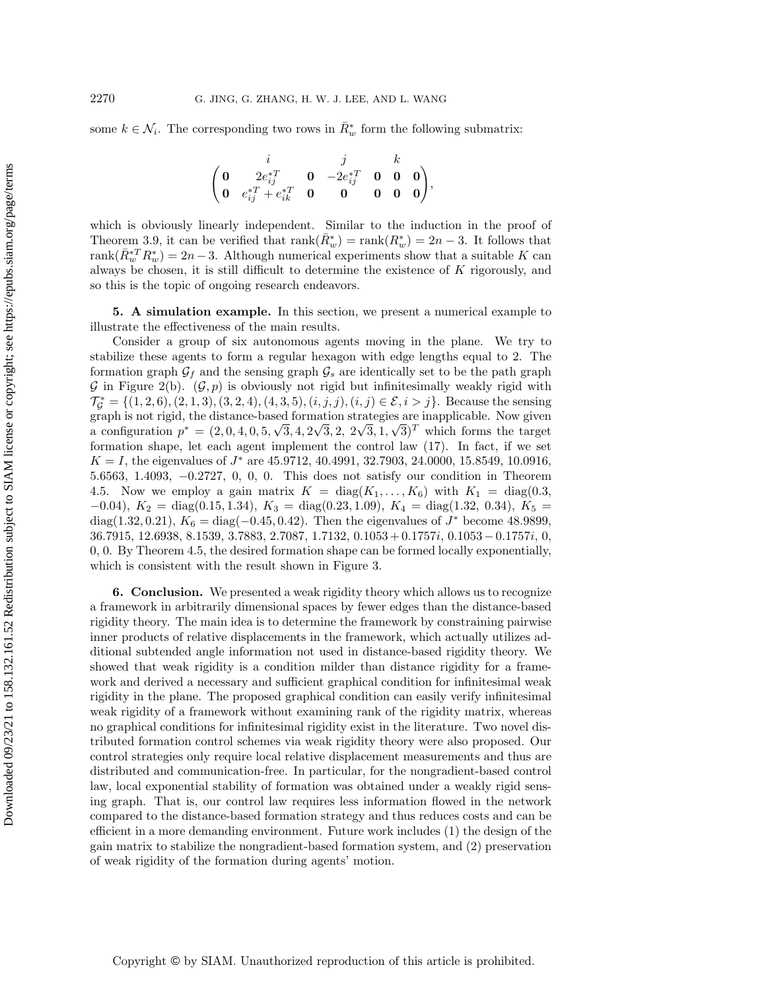some  $k \in \mathcal{N}_i$ . The corresponding two rows in  $\bar{R}_w^*$  form the following submatrix:

$$
\begin{pmatrix} i & j & k \\ \mathbf{0} & 2e_{ij}^{*T} & \mathbf{0} & -2e_{ij}^{*T} & \mathbf{0} & \mathbf{0} \\ \mathbf{0} & e_{ij}^{*T} + e_{ik}^{*T} & \mathbf{0} & \mathbf{0} & \mathbf{0} & \mathbf{0} \end{pmatrix},
$$

which is obviously linearly independent. Similar to the induction in the proof of Theorem [3.9,](#page-8-0) it can be verified that  $\text{rank}(\bar{R}^*_w) = \text{rank}(R^*_w) = 2n - 3$ . It follows that rank $(\bar{R}_{w}^{*T} R_{w}^{*}) = 2n - 3$ . Although numerical experiments show that a suitable K can always be chosen, it is still difficult to determine the existence of  $K$  rigorously, and so this is the topic of ongoing research endeavors.

<span id="page-22-0"></span>5. A simulation example. In this section, we present a numerical example to illustrate the effectiveness of the main results.

Consider a group of six autonomous agents moving in the plane. We try to stabilize these agents to form a regular hexagon with edge lengths equal to 2. The formation graph  $\mathcal{G}_f$  and the sensing graph  $\mathcal{G}_s$  are identically set to be the path graph  $\mathcal G$  in Figure [2\(](#page-10-0)b).  $(\mathcal G, p)$  is obviously not rigid but infinitesimally weakly rigid with  $\mathcal{T}_{\mathcal{G}}^* = \{ (1, 2, 6), (2, 1, 3), (3, 2, 4), (4, 3, 5), (i, j, j), (i, j) \in \mathcal{E}, i > j\}.$  Because the sensing graph is not rigid, the distance-based formation strategies are inapplicable. Now given graph is not rigid, the distance-based formation strategies are inapplicable. Now given<br>a configuration  $p^* = (2, 0, 4, 0, 5, \sqrt{3}, 4, 2\sqrt{3}, 2, 2\sqrt{3}, 1, \sqrt{3})^T$  which forms the target formation shape, let each agent implement the control law [\(17\)](#page-20-2). In fact, if we set  $K = I$ , the eigenvalues of  $J^*$  are 45.9712, 40.4991, 32.7903, 24.0000, 15.8549, 10.0916, 5.6563, 1.4093, -0.2727, 0, 0, 0. This does not satisfy our condition in Theorem [4.5.](#page-21-2) Now we employ a gain matrix  $K = diag(K_1, \ldots, K_6)$  with  $K_1 = diag(0.3,$  $-0.04$ ,  $K_2 = \text{diag}(0.15, 1.34)$ ,  $K_3 = \text{diag}(0.23, 1.09)$ ,  $K_4 = \text{diag}(1.32, 0.34)$ ,  $K_5 =$ diag(1.32, 0.21),  $K_6 = \text{diag}(-0.45, 0.42)$ . Then the eigenvalues of  $J^*$  become 48.9899, 36.7915, 12.6938, 8.1539, 3.7883, 2.7087, 1.7132, 0.1053 + 0.1757i, 0.1053 - 0.1757i, 0, 0, 0. By Theorem [4.5,](#page-21-2) the desired formation shape can be formed locally exponentially, which is consistent with the result shown in Figure [3.](#page-23-6)

<span id="page-22-1"></span>6. Conclusion. We presented a weak rigidity theory which allows us to recognize a framework in arbitrarily dimensional spaces by fewer edges than the distance-based rigidity theory. The main idea is to determine the framework by constraining pairwise inner products of relative displacements in the framework, which actually utilizes additional subtended angle information not used in distance-based rigidity theory. We showed that weak rigidity is a condition milder than distance rigidity for a framework and derived a necessary and sufficient graphical condition for infinitesimal weak rigidity in the plane. The proposed graphical condition can easily verify infinitesimal weak rigidity of a framework without examining rank of the rigidity matrix, whereas no graphical conditions for infinitesimal rigidity exist in the literature. Two novel distributed formation control schemes via weak rigidity theory were also proposed. Our control strategies only require local relative displacement measurements and thus are distributed and communication-free. In particular, for the nongradient-based control law, local exponential stability of formation was obtained under a weakly rigid sensing graph. That is, our control law requires less information flowed in the network compared to the distance-based formation strategy and thus reduces costs and can be efficient in a more demanding environment. Future work includes (1) the design of the gain matrix to stabilize the nongradient-based formation system, and (2) preservation of weak rigidity of the formation during agents' motion.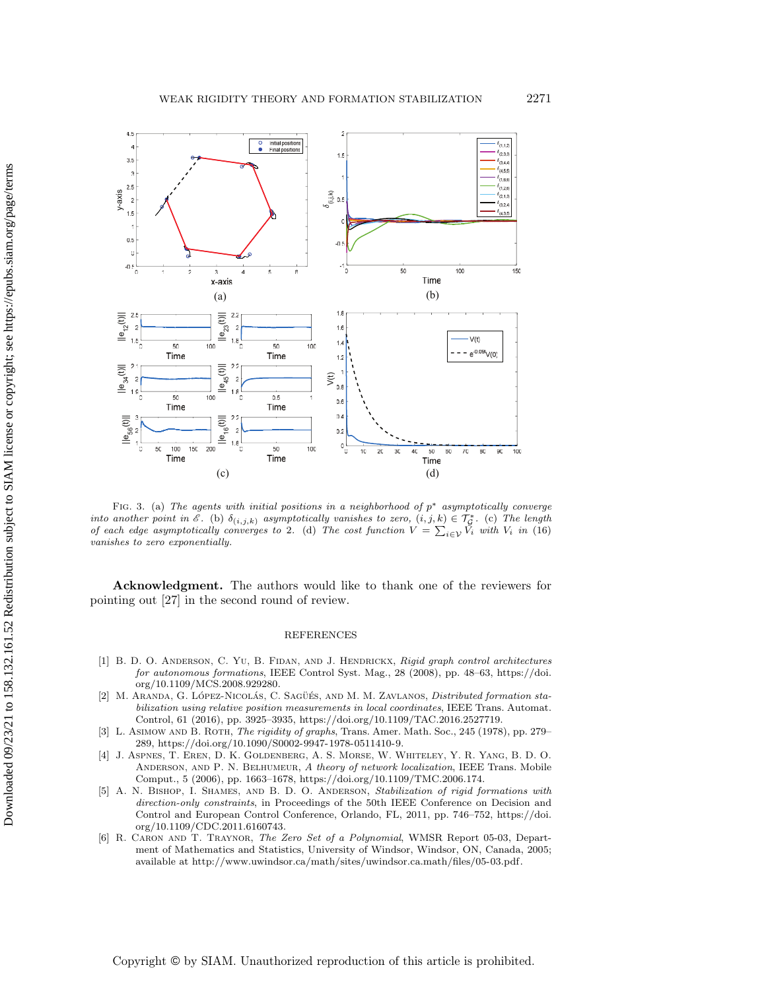<span id="page-23-6"></span>

FIG. 3. (a) The agents with initial positions in a neighborhood of  $p^*$  asymptotically converge into another point in  $\mathscr{E}$ . (b)  $\delta_{(i,j,k)}$  asymptotically vanishes to zero,  $(i,j,k) \in \mathcal{T}_{\mathcal{G}}^*$ . (c) The length of each edge asymptotically converges to 2. (d) The cost function  $V = \sum_{i\in \mathcal{V}} V_i$  with  $V_i$  in [\(16\)](#page-20-3) vanishes to zero exponentially.

Acknowledgment. The authors would like to thank one of the reviewers for pointing out [\[27\]](#page-24-22) in the second round of review.

#### REFERENCES

- <span id="page-23-0"></span>[1] B. D. O. ANDERSON, C. YU, B. FIDAN, AND J. HENDRICKX, Rigid graph control architectures for autonomous formations, IEEE Control Syst. Mag., 28 (2008), pp. 48-63, [https://doi.](https://doi.org/10.1109/MCS.2008.929280) [org/10.1109/MCS.2008.929280.](https://doi.org/10.1109/MCS.2008.929280)
- <span id="page-23-4"></span>[2] M. ARANDA, G. LÓPEZ-NICOLÁS, C. SAGÜÉS, AND M. M. ZAVLANOS, *Distributed formation sta*bilization using relative position measurements in local coordinates, IEEE Trans. Automat. Control, 61 (2016), pp. 3925--3935, [https://doi.org/10.1109/TAC.2016.2527719.](https://doi.org/10.1109/TAC.2016.2527719)
- <span id="page-23-3"></span>[3] L. Asimow and B. Roth, The rigidity of graphs, Trans. Amer. Math. Soc., 245 (1978), pp. 279– 289, [https://doi.org/10.1090/S0002-9947-1978-0511410-9.](https://doi.org/10.1090/S0002-9947-1978-0511410-9)
- <span id="page-23-2"></span>[4] J. Aspnes, T. Eren, D. K. Goldenberg, A. S. Morse, W. Whiteley, Y. R. Yang, B. D. O. ANDERSON, AND P. N. BELHUMEUR, A theory of network localization, IEEE Trans. Mobile Comput., 5 (2006), pp. 1663-1678, [https://doi.org/10.1109/TMC.2006.174.](https://doi.org/10.1109/TMC.2006.174)
- <span id="page-23-1"></span>[5] A. N. BISHOP, I. SHAMES, AND B. D. O. ANDERSON, Stabilization of rigid formations with direction-only constraints, in Proceedings of the 50th IEEE Conference on Decision and Control and European Control Conference, Orlando, FL, 2011, pp. 746–752, [https://doi.](https://doi.org/10.1109/CDC.2011.6160743) [org/10.1109/CDC.2011.6160743.](https://doi.org/10.1109/CDC.2011.6160743)
- <span id="page-23-5"></span>[6] R. Caron and T. Traynor, The Zero Set of a Polynomial, WMSR Report 05-03, Department of Mathematics and Statistics, University of Windsor, Windsor, ON, Canada, 2005; available at [http://www.uwindsor.ca/math/sites/uwindsor.ca.math/files/05-03.pdf.](http://www.uwindsor.ca/math/sites/uwindsor.ca.math/files/05-03.pdf)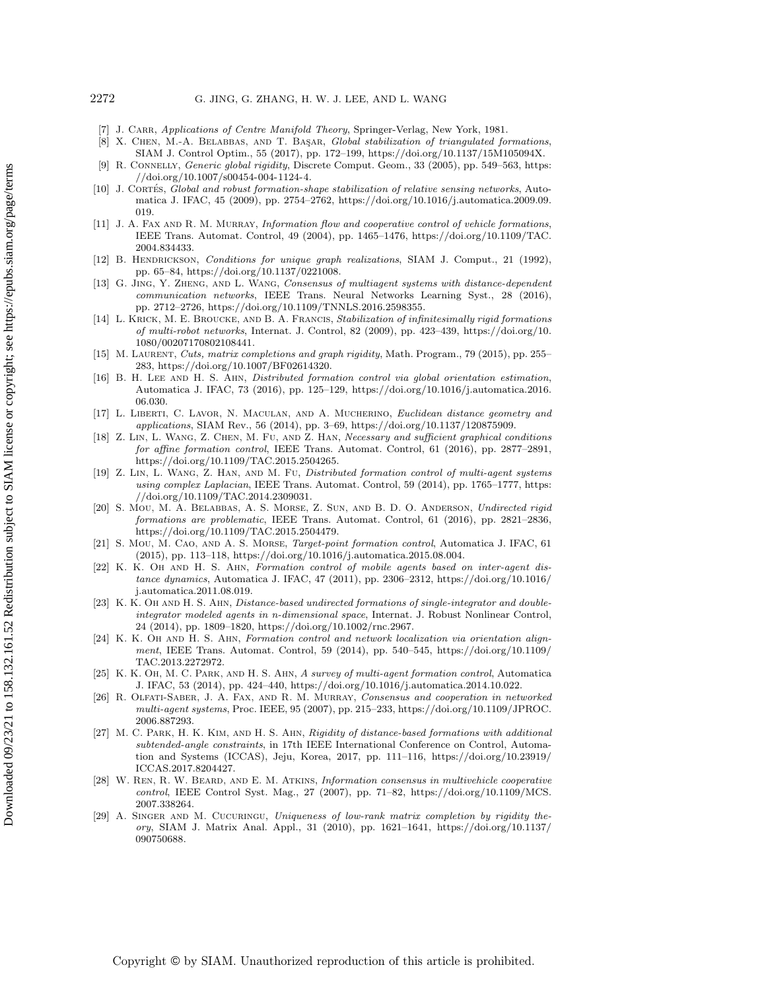### 2272 G. JING, G. ZHANG, H. W. J. LEE, AND L. WANG

- <span id="page-24-21"></span>J. CARR, Applications of Centre Manifold Theory, Springer-Verlag, New York, 1981.
- <span id="page-24-13"></span>[8] X. CHEN, M.-A. BELABBAS, AND T. BAŞAR, Global stabilization of triangulated formations, SIAM J. Control Optim., 55 (2017), pp. 172--199, [https://doi.org/10.1137/15M105094X.](https://doi.org/10.1137/15M105094X)
- <span id="page-24-18"></span>[9] R. CONNELLY, Generic global rigidity, Discrete Comput. Geom., 33 (2005), pp. 549–563, [https:](https://doi.org/10.1007/s00454-004-1124-4) [//doi.org/10.1007/s00454-004-1124-4.](https://doi.org/10.1007/s00454-004-1124-4)
- <span id="page-24-6"></span>[10] J. CORTÉS, Global and robust formation-shape stabilization of relative sensing networks, Automatica J. IFAC, 45 (2009), pp. 2754-2762, [https://doi.org/10.1016/j.automatica.2009.09.](https://doi.org/10.1016/j.automatica.2009.09.019) [019.](https://doi.org/10.1016/j.automatica.2009.09.019)
- <span id="page-24-3"></span>[11] J. A. FAX AND R. M. MURRAY, *Information flow and cooperative control of vehicle formations*, IEEE Trans. Automat. Control, 49 (2004), pp. 1465--1476, [https://doi.org/10.1109/TAC.](https://doi.org/10.1109/TAC.2004.834433) [2004.834433.](https://doi.org/10.1109/TAC.2004.834433)
- <span id="page-24-17"></span>[12] B. HENDRICKSON, Conditions for unique graph realizations, SIAM J. Comput., 21 (1992). pp. 65--84, [https://doi.org/10.1137/0221008.](https://doi.org/10.1137/0221008)
- <span id="page-24-12"></span>[13] G. Jing, Y. Zheng, and L. Wang, Consensus of multiagent systems with distance-dependent communication networks, IEEE Trans. Neural Networks Learning Syst., 28 (2016), pp. 2712--2726, [https://doi.org/10.1109/TNNLS.2016.2598355.](https://doi.org/10.1109/TNNLS.2016.2598355)
- <span id="page-24-8"></span>[14] L. KRICK, M. E. BROUCKE, AND B. A. FRANCIS, Stabilization of infinitesimally rigid formations of multi-robot networks, Internat. J. Control, 82 (2009), pp. 423--439, [https://doi.org/10.](https://doi.org/10.1080/00207170802108441) [1080/00207170802108441.](https://doi.org/10.1080/00207170802108441)
- <span id="page-24-14"></span>[15] M. LAURENT, Cuts, matrix completions and graph rigidity, Math. Program., 79 (2015), pp. 255-283, [https://doi.org/10.1007/BF02614320.](https://doi.org/10.1007/BF02614320)
- <span id="page-24-5"></span>[16] B. H. Lee and H. S. Ahn, Distributed formation control via global orientation estimation, Automatica J. IFAC, 73 (2016), pp. 125--129, [https://doi.org/10.1016/j.automatica.2016.](https://doi.org/10.1016/j.automatica.2016.06.030) [06.030.](https://doi.org/10.1016/j.automatica.2016.06.030)
- <span id="page-24-15"></span>[17] L. LIBERTI, C. LAVOR, N. MACULAN, AND A. MUCHERINO, Euclidean distance geometry and applications, SIAM Rev., 56 (2014), pp. 3--69, [https://doi.org/10.1137/120875909.](https://doi.org/10.1137/120875909)
- <span id="page-24-19"></span>[18] Z. LIN, L. WANG, Z. CHEN, M. FU, AND Z. HAN, Necessary and sufficient graphical conditions for affine formation control, IEEE Trans. Automat. Control, 61 (2016), pp. 2877-2891, [https://doi.org/10.1109/TAC.2015.2504265.](https://doi.org/10.1109/TAC.2015.2504265)
- <span id="page-24-7"></span>[19] Z. LIN, L. WANG, Z. HAN, AND M. FU, Distributed formation control of multi-agent systems using complex Laplacian, IEEE Trans. Automat. Control, 59 (2014), pp. 1765–1777, [https:](https://doi.org/10.1109/TAC.2014.2309031) [//doi.org/10.1109/TAC.2014.2309031.](https://doi.org/10.1109/TAC.2014.2309031)
- <span id="page-24-11"></span>[20] S. Mou, M. A. BELABBAS, A. S. MORSE, Z. SUN, AND B. D. O. ANDERSON, Undirected rigid formations are problematic, IEEE Trans. Automat. Control, 61 (2016), pp. 2821-2836, [https://doi.org/10.1109/TAC.2015.2504479.](https://doi.org/10.1109/TAC.2015.2504479)
- <span id="page-24-20"></span>[21] S. Mou, M. Cao, and A. S. Morse, Target-point formation control, Automatica J. IFAC, 61 (2015), pp. 113--118, [https://doi.org/10.1016/j.automatica.2015.08.004.](https://doi.org/10.1016/j.automatica.2015.08.004)
- <span id="page-24-9"></span>[22] K. K. OH AND H. S. AHN, Formation control of mobile agents based on inter-agent distance dynamics, Automatica J. IFAC, 47 (2011), pp. 2306-2312, [https://doi.org/10.1016/](https://doi.org/10.1016/j.automatica.2011.08.019) [j.automatica.2011.08.019.](https://doi.org/10.1016/j.automatica.2011.08.019)
- <span id="page-24-10"></span>[23] K. K. OH AND H. S. AHN, Distance-based undirected formations of single-integrator and doubleintegrator modeled agents in n-dimensional space, Internat. J. Robust Nonlinear Control, 24 (2014), pp. 1809--1820, [https://doi.org/10.1002/rnc.2967.](https://doi.org/10.1002/rnc.2967)
- <span id="page-24-4"></span>[24] K. K. OH AND H. S. AHN, Formation control and network localization via orientation alignment, IEEE Trans. Automat. Control, 59 (2014), pp. 540–545, [https://doi.org/10.1109/](https://doi.org/10.1109/TAC.2013.2272972) [TAC.2013.2272972.](https://doi.org/10.1109/TAC.2013.2272972)
- <span id="page-24-2"></span>[25] K. K. OH, M. C. PARK, AND H. S. AHN, A survey of multi-agent formation control, Automatica J. IFAC, 53 (2014), pp. 424-440, [https://doi.org/10.1016/j.automatica.2014.10.022.](https://doi.org/10.1016/j.automatica.2014.10.022)
- <span id="page-24-0"></span>[26] R. Olfati-Saber, J. A. Fax, and R. M. Murray, Consensus and cooperation in networked  $multi-agent systems$ , Proc. IEEE, 95 (2007), pp. 215-233, [https://doi.org/10.1109/JPROC.](https://doi.org/10.1109/JPROC.2006.887293) [2006.887293.](https://doi.org/10.1109/JPROC.2006.887293)
- <span id="page-24-22"></span>[27] M. C. Park, H. K. Kim, and H. S. Ahn, Rigidity of distance-based formations with additional subtended-angle constraints, in 17th IEEE International Conference on Control, Automation and Systems (ICCAS), Jeju, Korea, 2017, pp. 111-116, [https://doi.org/10.23919/](https://doi.org/10.23919/ICCAS.2017.8204427) [ICCAS.2017.8204427.](https://doi.org/10.23919/ICCAS.2017.8204427)
- <span id="page-24-1"></span>[28] W. Ren, R. W. Beard, and E. M. Atkins, Information consensus in multivehicle cooperative control, IEEE Control Syst. Mag., 27 (2007), pp. 71–82, [https://doi.org/10.1109/MCS.](https://doi.org/10.1109/MCS.2007.338264) [2007.338264.](https://doi.org/10.1109/MCS.2007.338264)
- <span id="page-24-16"></span>[29] A. SINGER AND M. CUCURINGU, Uniqueness of low-rank matrix completion by rigidity theory, SIAM J. Matrix Anal. Appl., 31 (2010), pp. 1621--1641, [https://doi.org/10.1137/](https://doi.org/10.1137/090750688) [090750688.](https://doi.org/10.1137/090750688)